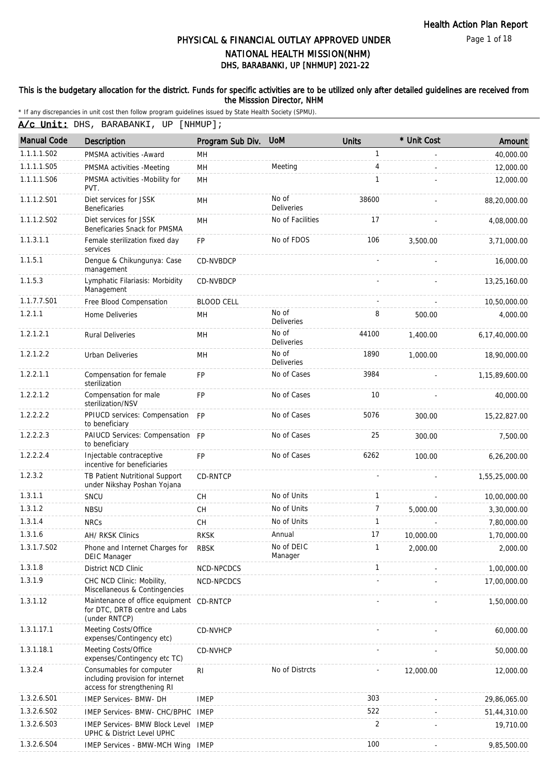Page 1 of 18

# DHS, BARABANKI, UP [NHMUP] 2021-22 PHYSICAL & FINANCIAL OUTLAY APPROVED UNDER NATIONAL HEALTH MISSION(NHM)

### This is the budgetary allocation for the district. Funds for specific activities are to be utilized only after detailed guidelines are received from the Misssion Director, NHM

| <b>Manual Code</b> | <b>Description</b>                                                                          | Program Sub Div.  | <b>UoM</b>                 | <b>Units</b> | * Unit Cost | Amount         |
|--------------------|---------------------------------------------------------------------------------------------|-------------------|----------------------------|--------------|-------------|----------------|
| 1.1.1.1.S02        | PMSMA activities - Award                                                                    | MH                |                            | 1            |             | 40,000.00      |
| 1.1.1.1.S05        | PMSMA activities -Meeting                                                                   | MH                | Meeting                    | 4            | L.          | 12,000.00      |
| 1.1.1.1.S06        | PMSMA activities -Mobility for<br>PVT.                                                      | MH                |                            | 1            |             | 12,000.00      |
| 1.1.1.2.S01        | Diet services for JSSK<br><b>Beneficaries</b>                                               | <b>MH</b>         | No of<br><b>Deliveries</b> | 38600        |             | 88,20,000.00   |
| 1.1.1.2.S02        | Diet services for JSSK<br>Beneficaries Snack for PMSMA                                      | MH                | No of Facilities           | 17           |             | 4,08,000.00    |
| 1.1.3.1.1          | Female sterilization fixed day<br>services                                                  | <b>FP</b>         | No of FDOS                 | 106          | 3.500.00    | 3,71,000.00    |
| 1.1.5.1            | Dengue & Chikungunya: Case<br>management                                                    | CD-NVBDCP         |                            |              |             | 16,000.00      |
| 1.1.5.3            | Lymphatic Filariasis: Morbidity<br>Management                                               | CD-NVBDCP         |                            |              |             | 13,25,160.00   |
| 1.1.7.7.S01        | Free Blood Compensation                                                                     | <b>BLOOD CELL</b> |                            |              |             | 10,50,000.00   |
| 1.2.1.1            | <b>Home Deliveries</b>                                                                      | <b>MH</b>         | No of<br>Deliveries        | 8            | 500.00      | 4,000.00       |
| 1.2.1.2.1          | <b>Rural Deliveries</b>                                                                     | MH                | No of<br><b>Deliveries</b> | 44100        | 1,400.00    | 6,17,40,000.00 |
| 1.2.1.2.2          | <b>Urban Deliveries</b>                                                                     | MH                | No of<br>Deliveries        | 1890         | 1,000.00    | 18,90,000.00   |
| 1.2.2.1.1          | Compensation for female<br>sterilization                                                    | <b>FP</b>         | No of Cases                | 3984         |             | 1,15,89,600.00 |
| 1.2.2.1.2          | Compensation for male<br>sterilization/NSV                                                  | <b>FP</b>         | No of Cases                | 10           |             | 40,000.00      |
| 1.2.2.2.2          | PPIUCD services: Compensation FP<br>to beneficiary                                          |                   | No of Cases                | 5076         | 300.00      | 15,22,827.00   |
| 1.2.2.2.3          | PAIUCD Services: Compensation FP<br>to beneficiary                                          |                   | No of Cases                | 25           | 300.00      | 7,500.00       |
| 1.2.2.2.4          | Injectable contraceptive<br>incentive for beneficiaries                                     | <b>FP</b>         | No of Cases                | 6262         | 100.00      | 6,26,200.00    |
| 1.2.3.2            | TB Patient Nutritional Support<br>under Nikshay Poshan Yojana                               | <b>CD-RNTCP</b>   |                            |              |             | 1,55,25,000.00 |
| 1.3.1.1            | SNCU                                                                                        | CH                | No of Units                | $\mathbf{1}$ |             | 10,00,000.00   |
| 1.3.1.2            | <b>NBSU</b>                                                                                 | CH                | No of Units                | 7            | 5,000.00    | 3,30,000.00    |
| 1.3.1.4            | <b>NRCs</b>                                                                                 | CH                | No of Units                | $\mathbf{1}$ |             | 7,80,000.00    |
| 1.3.1.6            | AH/ RKSK Clinics                                                                            | <b>RKSK</b>       | Annual                     | 17           | 10,000.00   | 1,70,000.00    |
| 1.3.1.7.S02        | Phone and Internet Charges for<br><b>DEIC Manager</b>                                       | <b>RBSK</b>       | No of DEIC<br>Manager      |              | 2,000.00    | 2,000.00       |
| 1.3.1.8            | District NCD Clinic                                                                         | NCD-NPCDCS        |                            | 1            |             | 1,00,000.00    |
| 1.3.1.9            | CHC NCD Clinic: Mobility,<br>Miscellaneous & Contingencies                                  | NCD-NPCDCS        |                            |              |             | 17,00,000.00   |
| 1.3.1.12           | Maintenance of office equipment CD-RNTCP<br>for DTC, DRTB centre and Labs<br>(under RNTCP)  |                   |                            |              |             | 1,50,000.00    |
| 1.3.1.17.1         | Meeting Costs/Office<br>expenses/Contingency etc)                                           | CD-NVHCP          |                            |              |             | 60,000.00      |
| 1.3.1.18.1         | Meeting Costs/Office<br>expenses/Contingency etc TC)                                        | CD-NVHCP          |                            |              |             | 50,000.00      |
| 1.3.2.4            | Consumables for computer<br>including provision for internet<br>access for strengthening RI | <b>RI</b>         | No of Distrcts             |              | 12,000.00   | 12,000.00      |
| 1.3.2.6.S01        | <b>IMEP Services- BMW- DH</b>                                                               | <b>IMEP</b>       |                            | 303          |             | 29,86,065.00   |
| 1.3.2.6.S02        | IMEP Services- BMW- CHC/BPHC                                                                | IMEP              |                            | 522          |             | 51,44,310.00   |
| 1.3.2.6.S03        | <b>IMEP Services- BMW Block Level</b><br>UPHC & District Level UPHC                         | <b>IMEP</b>       |                            | 2            |             | 19,710.00      |
| 1.3.2.6.S04        | IMEP Services - BMW-MCH Wing IMEP                                                           |                   |                            | 100          |             | 9,85,500.00    |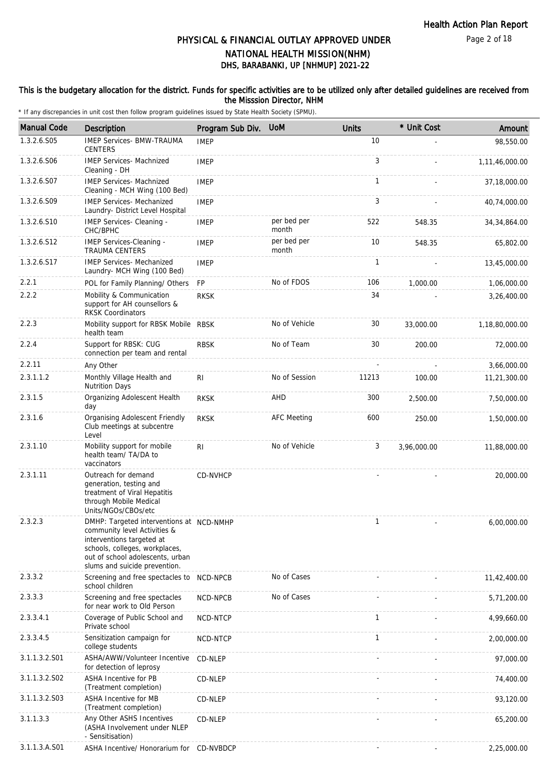Page 2 of 18

# DHS, BARABANKI, UP [NHMUP] 2021-22 PHYSICAL & FINANCIAL OUTLAY APPROVED UNDER NATIONAL HEALTH MISSION(NHM)

### This is the budgetary allocation for the district. Funds for specific activities are to be utilized only after detailed guidelines are received from the Misssion Director, NHM

| <b>Manual Code</b> | Description                                                                                                                                                                                                  | Program Sub Div. | <b>UoM</b>           | <b>Units</b> | * Unit Cost | Amount         |
|--------------------|--------------------------------------------------------------------------------------------------------------------------------------------------------------------------------------------------------------|------------------|----------------------|--------------|-------------|----------------|
| 1.3.2.6.S05        | <b>IMEP Services- BMW-TRAUMA</b><br><b>CENTERS</b>                                                                                                                                                           | <b>IMEP</b>      |                      | 10           |             | 98,550.00      |
| 1.3.2.6.S06        | <b>IMEP Services- Machnized</b><br>Cleaning - DH                                                                                                                                                             | <b>IMEP</b>      |                      | 3            |             | 1,11,46,000.00 |
| 1.3.2.6.S07        | <b>IMEP Services- Machnized</b><br>Cleaning - MCH Wing (100 Bed)                                                                                                                                             | <b>IMEP</b>      |                      | $\mathbf{1}$ |             | 37,18,000.00   |
| 1.3.2.6.S09        | <b>IMEP Services- Mechanized</b><br>Laundry- District Level Hospital                                                                                                                                         | <b>IMEP</b>      |                      | 3            |             | 40,74,000.00   |
| 1.3.2.6.S10        | IMEP Services- Cleaning -<br>CHC/BPHC                                                                                                                                                                        | <b>IMEP</b>      | per bed per<br>month | 522          | 548.35      | 34, 34, 864.00 |
| 1.3.2.6.S12        | IMEP Services-Cleaning -<br><b>TRAUMA CENTERS</b>                                                                                                                                                            | <b>IMEP</b>      | per bed per<br>month | 10           | 548.35      | 65,802.00      |
| 1.3.2.6.S17        | <b>IMEP Services- Mechanized</b><br>Laundry- MCH Wing (100 Bed)                                                                                                                                              | <b>IMEP</b>      |                      | $\mathbf{1}$ |             | 13,45,000.00   |
| 2.2.1              | POL for Family Planning/ Others                                                                                                                                                                              | <b>FP</b>        | No of FDOS           | 106          | 1,000.00    | 1,06,000.00    |
| 2.2.2              | Mobility & Communication<br>support for AH counsellors &<br><b>RKSK Coordinators</b>                                                                                                                         | <b>RKSK</b>      |                      | 34           |             | 3,26,400.00    |
| 2.2.3              | Mobility support for RBSK Mobile RBSK<br>health team                                                                                                                                                         |                  | No of Vehicle        | 30           | 33,000.00   | 1,18,80,000.00 |
| 2.2.4              | Support for RBSK: CUG<br>connection per team and rental                                                                                                                                                      | <b>RBSK</b>      | No of Team           | 30           | 200.00      | 72,000.00      |
| 2.2.11             | Any Other                                                                                                                                                                                                    |                  |                      |              |             | 3,66,000.00    |
| 2.3.1.1.2          | Monthly Village Health and<br><b>Nutrition Days</b>                                                                                                                                                          | R <sub>1</sub>   | No of Session        | 11213        | 100.00      | 11,21,300.00   |
| 2.3.1.5            | Organizing Adolescent Health<br>day                                                                                                                                                                          | <b>RKSK</b>      | AHD                  | 300          | 2,500.00    | 7,50,000.00    |
| 2.3.1.6            | Organising Adolescent Friendly<br>Club meetings at subcentre<br>Level                                                                                                                                        | <b>RKSK</b>      | <b>AFC Meeting</b>   | 600          | 250.00      | 1,50,000.00    |
| 2.3.1.10           | Mobility support for mobile<br>health team/ TA/DA to<br>vaccinators                                                                                                                                          | R <sub>1</sub>   | No of Vehicle        | 3            | 3,96,000.00 | 11,88,000.00   |
| 2.3.1.11           | Outreach for demand<br>generation, testing and<br>treatment of Viral Hepatitis<br>through Mobile Medical<br>Units/NGOs/CBOs/etc                                                                              | CD-NVHCP         |                      |              |             | 20,000.00      |
| 2.3.2.3            | DMHP: Targeted interventions at NCD-NMHP<br>community level Activities &<br>interventions targeted at<br>schools, colleges, workplaces,<br>out of school adolescents, urban<br>slums and suicide prevention. |                  |                      | $\mathbf{1}$ |             | 6,00,000.00    |
| 2.3.3.2            | Screening and free spectacles to NCD-NPCB<br>school children                                                                                                                                                 |                  | No of Cases          |              |             | 11,42,400.00   |
| 2.3.3.3            | Screening and free spectacles<br>for near work to Old Person                                                                                                                                                 | NCD-NPCB         | No of Cases          |              |             | 5,71,200.00    |
| 2.3.3.4.1          | Coverage of Public School and<br>Private school                                                                                                                                                              | <b>NCD-NTCP</b>  |                      | $\mathbf{1}$ |             | 4,99,660.00    |
| 2.3.3.4.5          | Sensitization campaign for<br>college students                                                                                                                                                               | NCD-NTCP         |                      | $\mathbf{1}$ |             | 2,00,000.00    |
| 3.1.1.3.2.S01      | ASHA/AWW/Volunteer Incentive<br>for detection of leprosy                                                                                                                                                     | CD-NLEP          |                      |              |             | 97,000.00      |
| 3.1.1.3.2.S02      | ASHA Incentive for PB<br>(Treatment completion)                                                                                                                                                              | CD-NLEP          |                      |              |             | 74,400.00      |
| 3.1.1.3.2.S03      | ASHA Incentive for MB<br>(Treatment completion)                                                                                                                                                              | CD-NLEP          |                      |              |             | 93,120.00      |
| 3.1.1.3.3          | Any Other ASHS Incentives<br>(ASHA Involvement under NLEP<br>- Sensitisation)                                                                                                                                | CD-NLEP          |                      |              |             | 65,200.00      |
| 3.1.1.3.A.S01      | ASHA Incentive/ Honorarium for CD-NVBDCP                                                                                                                                                                     |                  |                      |              |             | 2,25,000.00    |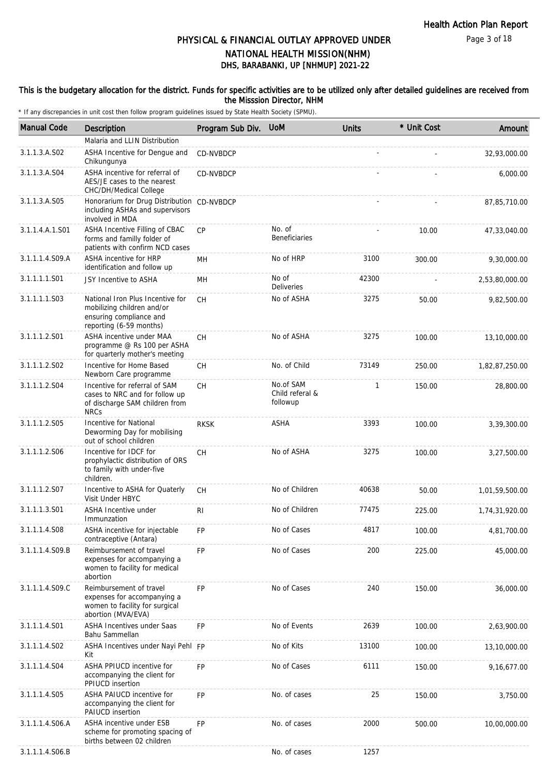Page 3 of 18

# PHYSICAL & FINANCIAL OUTLAY APPROVED UNDER NATIONAL HEALTH MISSION(NHM)

# DHS, BARABANKI, UP [NHMUP] 2021-22

### This is the budgetary allocation for the district. Funds for specific activities are to be utilized only after detailed guidelines are received from the Misssion Director, NHM

| <b>Manual Code</b> | Description                                                                                                          | Program Sub Div. | <b>UoM</b>                               | <b>Units</b> | * Unit Cost | Amount         |
|--------------------|----------------------------------------------------------------------------------------------------------------------|------------------|------------------------------------------|--------------|-------------|----------------|
|                    | Malaria and LLIN Distribution                                                                                        |                  |                                          |              |             |                |
| 3.1.1.3.A.S02      | ASHA Incentive for Dengue and<br>Chikungunya                                                                         | CD-NVBDCP        |                                          |              |             | 32,93,000.00   |
| 3.1.1.3.A.S04      | ASHA incentive for referral of<br>AES/JE cases to the nearest<br>CHC/DH/Medical College                              | CD-NVBDCP        |                                          |              |             | 6,000.00       |
| 3.1.1.3.A.S05      | Honorarium for Drug Distribution CD-NVBDCP<br>including ASHAs and supervisors<br>involved in MDA                     |                  |                                          |              |             | 87, 85, 710.00 |
| 3.1.1.4.A.1.S01    | ASHA Incentive Filling of CBAC<br>forms and familly folder of<br>patients with confirm NCD cases                     | CP               | No. of<br><b>Beneficiaries</b>           |              | 10.00       | 47,33,040.00   |
| 3.1.1.1.4.S09.A    | ASHA incentive for HRP<br>identification and follow up                                                               | MН               | No of HRP                                | 3100         | 300.00      | 9,30,000.00    |
| 3.1.1.1.1.S01      | JSY Incentive to ASHA                                                                                                | <b>MH</b>        | No of<br><b>Deliveries</b>               | 42300        |             | 2,53,80,000.00 |
| 3.1.1.1.1.S03      | National Iron Plus Incentive for<br>mobilizing children and/or<br>ensuring compliance and<br>reporting (6-59 months) | <b>CH</b>        | No of ASHA                               | 3275         | 50.00       | 9,82,500.00    |
| 3.1.1.1.2.S01      | ASHA incentive under MAA<br>programme @ Rs 100 per ASHA<br>for quarterly mother's meeting                            | <b>CH</b>        | No of ASHA                               | 3275         | 100.00      | 13,10,000.00   |
| 3.1.1.1.2.S02      | Incentive for Home Based<br>Newborn Care programme                                                                   | СH               | No. of Child                             | 73149        | 250.00      | 1,82,87,250.00 |
| 3.1.1.1.2.S04      | Incentive for referral of SAM<br>cases to NRC and for follow up<br>of discharge SAM children from<br><b>NRCs</b>     | <b>CH</b>        | No.of SAM<br>Child referal &<br>followup | 1            | 150.00      | 28,800.00      |
| 3.1.1.1.2.S05      | Incentive for National<br>Deworming Day for mobilising<br>out of school children                                     | <b>RKSK</b>      | ASHA                                     | 3393         | 100.00      | 3,39,300.00    |
| 3.1.1.1.2.S06      | Incentive for IDCF for<br>prophylactic distribution of ORS<br>to family with under-five<br>children.                 | CH               | No of ASHA                               | 3275         | 100.00      | 3,27,500.00    |
| 3.1.1.1.2.S07      | Incentive to ASHA for Quaterly<br>Visit Under HBYC                                                                   | СH               | No of Children                           | 40638        | 50.00       | 1,01,59,500.00 |
| 3.1.1.1.3.S01      | ASHA Incentive under<br>Immunzation                                                                                  | RI               | No of Children                           | 77475        | 225.00      | 1,74,31,920.00 |
| 3.1.1.1.4.S08      | ASHA incentive for injectable<br>contraceptive (Antara)                                                              | FP               | No of Cases                              | 4817         | 100.00      | 4,81,700.00    |
| 3.1.1.1.4.S09.B    | Reimbursement of travel<br>expenses for accompanying a<br>women to facility for medical<br>abortion                  | <b>FP</b>        | No of Cases                              | 200          | 225.00      | 45,000.00      |
| 3.1.1.1.4.S09.C    | Reimbursement of travel<br>expenses for accompanying a<br>women to facility for surgical<br>abortion (MVA/EVA)       | <b>FP</b>        | No of Cases                              | 240          | 150.00      | 36,000.00      |
| 3.1.1.1.4.S01      | <b>ASHA Incentives under Saas</b><br>Bahu Sammellan                                                                  | <b>FP</b>        | No of Events                             | 2639         | 100.00      | 2,63,900.00    |
| 3.1.1.1.4.S02      | ASHA Incentives under Nayi Pehl FP<br>Kit                                                                            |                  | No of Kits                               | 13100        | 100.00      | 13,10,000.00   |
| 3.1.1.1.4.S04      | ASHA PPIUCD incentive for<br>accompanying the client for<br>PPIUCD insertion                                         | FP               | No of Cases                              | 6111         | 150.00      | 9,16,677.00    |
| 3.1.1.1.4.S05      | ASHA PAIUCD incentive for<br>accompanying the client for<br>PAIUCD insertion                                         | <b>FP</b>        | No. of cases                             | 25           | 150.00      | 3,750.00       |
| 3.1.1.1.4.S06.A    | ASHA incentive under ESB<br>scheme for promoting spacing of<br>births between 02 children                            | <b>FP</b>        | No. of cases                             | 2000         | 500.00      | 10,00,000.00   |
| 3.1.1.1.4.S06.B    |                                                                                                                      |                  | No. of cases                             | 1257         |             |                |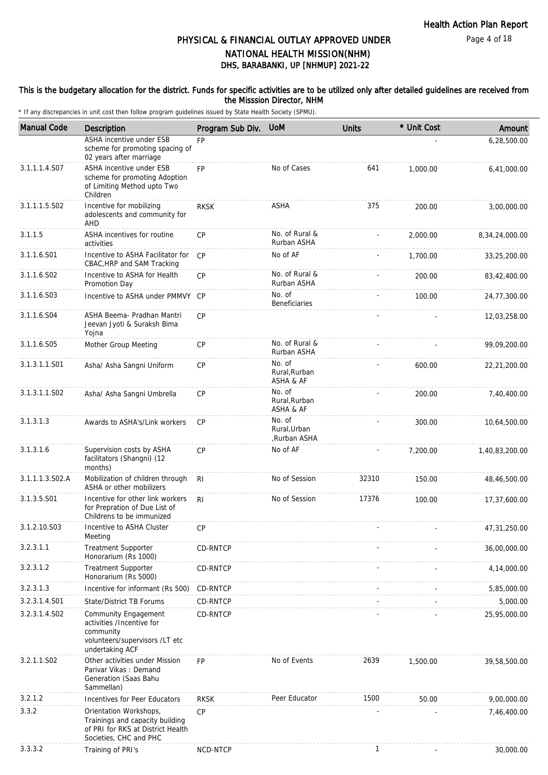# PHYSICAL & FINANCIAL OUTLAY APPROVED UNDER NATIONAL HEALTH MISSION(NHM)

DHS, BARABANKI, UP [NHMUP] 2021-22

### This is the budgetary allocation for the district. Funds for specific activities are to be utilized only after detailed guidelines are received from the Misssion Director, NHM

| <b>Manual Code</b> | <b>Description</b>                                                                                                         | Program Sub Div. | <b>UoM</b>                             | <b>Units</b> | * Unit Cost | Amount         |
|--------------------|----------------------------------------------------------------------------------------------------------------------------|------------------|----------------------------------------|--------------|-------------|----------------|
|                    | ASHA incentive under ESB<br>scheme for promoting spacing of<br>02 years after marriage                                     | <b>FP</b>        |                                        |              |             | 6,28,500.00    |
| 3.1.1.1.4.S07      | ASHA incentive under ESB<br>scheme for promoting Adoption<br>of Limiting Method upto Two<br>Children                       | <b>FP</b>        | No of Cases                            | 641          | 1,000.00    | 6,41,000.00    |
| 3.1.1.1.5.S02      | Incentive for mobilizing<br>adolescents and community for<br>AHD                                                           | <b>RKSK</b>      | ASHA                                   | 375          | 200.00      | 3,00,000.00    |
| 3.1.1.5            | ASHA incentives for routine<br>activities                                                                                  | <b>CP</b>        | No. of Rural &<br>Rurban ASHA          |              | 2,000.00    | 8,34,24,000.00 |
| 3.1.1.6.S01        | Incentive to ASHA Facilitator for<br>CBAC, HRP and SAM Tracking                                                            | CP               | No of AF                               |              | 1,700.00    | 33,25,200.00   |
| 3.1.1.6.S02        | Incentive to ASHA for Health<br>Promotion Day                                                                              | <b>CP</b>        | No. of Rural &<br>Rurban ASHA          |              | 200.00      | 83,42,400.00   |
| 3.1.1.6.S03        | Incentive to ASHA under PMMVY CP                                                                                           |                  | No. of<br><b>Beneficiaries</b>         |              | 100.00      | 24,77,300.00   |
| 3.1.1.6.S04        | ASHA Beema- Pradhan Mantri<br>Jeevan Jyoti & Suraksh Bima<br>Yojna                                                         | CP               |                                        |              |             | 12,03,258.00   |
| 3.1.1.6.S05        | Mother Group Meeting                                                                                                       | <b>CP</b>        | No. of Rural &<br>Rurban ASHA          |              |             | 99,09,200.00   |
| 3.1.3.1.1.S01      | Asha/ Asha Sangni Uniform                                                                                                  | <b>CP</b>        | No. of<br>Rural, Rurban<br>ASHA & AF   |              | 600.00      | 22,21,200.00   |
| 3.1.3.1.1.S02      | Asha/ Asha Sangni Umbrella                                                                                                 | <b>CP</b>        | No. of<br>Rural, Rurban<br>ASHA & AF   |              | 200.00      | 7,40,400.00    |
| 3.1.3.1.3          | Awards to ASHA's/Link workers                                                                                              | <b>CP</b>        | No. of<br>Rural, Urban<br>,Rurban ASHA |              | 300.00      | 10,64,500.00   |
| 3.1.3.1.6          | Supervision costs by ASHA<br>facilitators (Shangni) (12<br>months)                                                         | CP               | No of AF                               |              | 7,200.00    | 1,40,83,200.00 |
| 3.1.1.1.3.S02.A    | Mobilization of children through<br>ASHA or other mobilizers                                                               | R <sub>l</sub>   | No of Session                          | 32310        | 150.00      | 48,46,500.00   |
| 3.1.3.5.S01        | Incentive for other link workers<br>for Prepration of Due List of<br>Childrens to be immunized                             | R <sub>l</sub>   | No of Session                          | 17376        | 100.00      | 17,37,600.00   |
| 3.1.2.10.S03       | Incentive to ASHA Cluster<br>Meeting                                                                                       | <b>CP</b>        |                                        |              |             | 47,31,250.00   |
| 3.2.3.1.1          | <b>Treatment Supporter</b><br>Honorarium (Rs 1000)                                                                         | CD-RNTCP         |                                        |              |             | 36,00,000.00   |
| 3.2.3.1.2          | <b>Treatment Supporter</b><br>Honorarium (Rs 5000)                                                                         | CD-RNTCP         |                                        |              |             | 4,14,000.00    |
| 3.2.3.1.3          | Incentive for informant (Rs 500)                                                                                           | CD-RNTCP         |                                        |              |             | 5,85,000.00    |
| 3.2.3.1.4.S01      | State/District TB Forums                                                                                                   | CD-RNTCP         |                                        |              |             | 5,000.00       |
| 3.2.3.1.4.S02      | <b>Community Engagement</b><br>activities /Incentive for<br>community<br>volunteers/supervisors /LT etc<br>undertaking ACF | CD-RNTCP         |                                        |              |             | 25,95,000.00   |
| 3.2.1.1.S02        | Other activities under Mission<br>Parivar Vikas: Demand<br>Generation (Saas Bahu<br>Sammellan)                             | <b>FP</b>        | No of Events                           | 2639         | 1,500.00    | 39,58,500.00   |
| 3.2.1.2            | Incentives for Peer Educators                                                                                              | <b>RKSK</b>      | Peer Educator                          | 1500         | 50.00       | 9,00,000.00    |
| 3.3.2              | Orientation Workshops,<br>Trainings and capacity building<br>of PRI for RKS at District Health<br>Societies, CHC and PHC   | <b>CP</b>        |                                        |              |             | 7,46,400.00    |
| 3.3.3.2            | Training of PRI's                                                                                                          | NCD-NTCP         |                                        | $\mathbf{1}$ |             | 30,000.00      |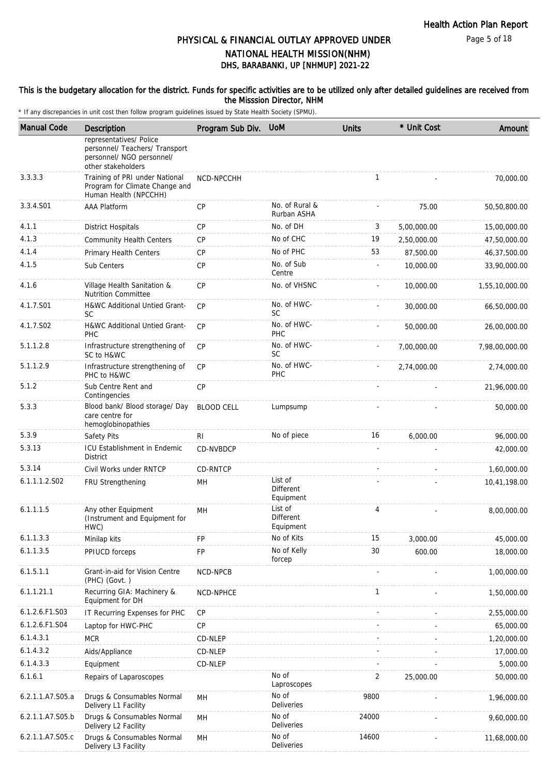### This is the budgetary allocation for the district. Funds for specific activities are to be utilized only after detailed guidelines are received from the Misssion Director, NHM

| <b>Manual Code</b> | Description                                                                                                  | Program Sub Div.  | <b>UoM</b>                        | <b>Units</b> | * Unit Cost | Amount         |
|--------------------|--------------------------------------------------------------------------------------------------------------|-------------------|-----------------------------------|--------------|-------------|----------------|
|                    | representatives/ Police<br>personnel/ Teachers/ Transport<br>personnel/ NGO personnel/<br>other stakeholders |                   |                                   |              |             |                |
| 3.3.3.3            | Training of PRI under National<br>Program for Climate Change and<br>Human Health (NPCCHH)                    | NCD-NPCCHH        |                                   | $\mathbf{1}$ |             | 70,000.00      |
| 3.3.4.S01          | <b>AAA Platform</b>                                                                                          | CP                | No. of Rural &<br>Rurban ASHA     |              | 75.00       | 50,50,800.00   |
| 4.1.1              | <b>District Hospitals</b>                                                                                    | <b>CP</b>         | No. of DH                         | 3            | 5,00,000.00 | 15,00,000.00   |
| 4.1.3              | <b>Community Health Centers</b>                                                                              | <b>CP</b>         | No of CHC                         | 19           | 2,50,000.00 | 47,50,000.00   |
| 4.1.4              | Primary Health Centers                                                                                       | СP                | No of PHC                         | 53           | 87,500.00   | 46,37,500.00   |
| 4.1.5              | Sub Centers                                                                                                  | <b>CP</b>         | No. of Sub<br>Centre              |              | 10,000.00   | 33,90,000.00   |
| 4.1.6              | Village Health Sanitation &<br><b>Nutrition Committee</b>                                                    | <b>CP</b>         | No. of VHSNC                      |              | 10,000.00   | 1,55,10,000.00 |
| 4.1.7.S01          | H&WC Additional Untied Grant-<br><b>SC</b>                                                                   | <b>CP</b>         | No. of HWC-<br>SC                 |              | 30,000.00   | 66,50,000.00   |
| 4.1.7.S02          | <b>H&amp;WC Additional Untied Grant-</b><br>PHC                                                              | CP                | No. of HWC-<br>PHC                |              | 50,000.00   | 26,00,000.00   |
| 5.1.1.2.8          | Infrastructure strengthening of<br>SC to H&WC                                                                | CP                | No. of HWC-<br><b>SC</b>          |              | 7,00,000.00 | 7,98,00,000.00 |
| 5.1.1.2.9          | Infrastructure strengthening of<br>PHC to H&WC                                                               | <b>CP</b>         | No. of HWC-<br><b>PHC</b>         |              | 2,74,000.00 | 2,74,000.00    |
| 5.1.2              | Sub Centre Rent and<br>Contingencies                                                                         | <b>CP</b>         |                                   |              |             | 21,96,000.00   |
| 5.3.3              | Blood bank/ Blood storage/ Day<br>care centre for<br>hemoglobinopathies                                      | <b>BLOOD CELL</b> | Lumpsump                          |              |             | 50,000.00      |
| 5.3.9              | Safety Pits                                                                                                  | RI.               | No of piece                       | 16           | 6,000.00    | 96,000.00      |
| 5.3.13             | <b>ICU Establishment in Endemic</b><br><b>District</b>                                                       | <b>CD-NVBDCP</b>  |                                   |              |             | 42,000.00      |
| 5.3.14             | Civil Works under RNTCP                                                                                      | CD-RNTCP          |                                   |              |             | 1,60,000.00    |
| 6.1.1.1.2.S02      | FRU Strengthening                                                                                            | MН                | List of<br>Different<br>Equipment |              |             | 10,41,198.00   |
| 6.1.1.1.5          | Any other Equipment<br>(Instrument and Equipment for<br>HWC)                                                 | MН                | List of<br>Different<br>Equipment | 4            |             | 8,00,000.00    |
| 6.1.1.3.3          | Minilap kits                                                                                                 | FP                | No of Kits                        | 15           | 3,000.00    | 45,000.00      |
| 6.1.1.3.5          | PPIUCD forceps                                                                                               | FP                | No of Kelly<br>forcep             | 30           | 600.00      | 18,000.00      |
| 6.1.5.1.1          | Grant-in-aid for Vision Centre<br>(PHC) (Govt.)                                                              | NCD-NPCB          |                                   |              |             | 1,00,000.00    |
| 6.1.1.21.1         | Recurring GIA: Machinery &<br>Equipment for DH                                                               | NCD-NPHCE         |                                   | 1            |             | 1,50,000.00    |
| 6.1.2.6.F1.S03     | IT Recurring Expenses for PHC                                                                                | <b>CP</b>         |                                   |              |             | 2,55,000.00    |
| 6.1.2.6.F1.S04     | Laptop for HWC-PHC                                                                                           | <b>CP</b>         |                                   |              |             | 65,000.00      |
| 6.1.4.3.1          | <b>MCR</b>                                                                                                   | CD-NLEP           |                                   |              |             | 1,20,000.00    |
| 6.1.4.3.2          | Aids/Appliance                                                                                               | CD-NLEP           |                                   |              |             | 17,000.00      |
| 6.1.4.3.3          | Equipment                                                                                                    | CD-NLEP           |                                   |              |             | 5,000.00       |
| 6.1.6.1            | Repairs of Laparoscopes                                                                                      |                   | No of<br>Laproscopes              | 2            | 25,000.00   | 50,000.00      |
| 6.2.1.1.A7.S05.a   | Drugs & Consumables Normal<br>Delivery L1 Facility                                                           | MН                | No of<br>Deliveries               | 9800         |             | 1,96,000.00    |
| 6.2.1.1.A7.S05.b   | Drugs & Consumables Normal<br>Delivery L2 Facility                                                           | MH                | No of<br>Deliveries               | 24000        |             | 9,60,000.00    |
| 6.2.1.1.A7.S05.c   | Drugs & Consumables Normal<br>Delivery L3 Facility                                                           | MH                | No of<br>Deliveries               | 14600        |             | 11,68,000.00   |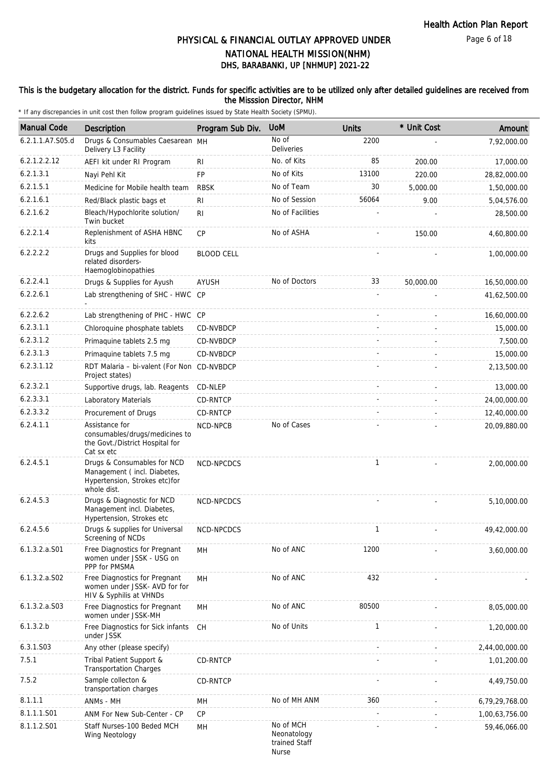### This is the budgetary allocation for the district. Funds for specific activities are to be utilized only after detailed guidelines are received from the Misssion Director, NHM

| <b>Manual Code</b> | <b>Description</b>                                                                                         | Program Sub Div.  | <b>UoM</b>                                         | <b>Units</b> | * Unit Cost | Amount         |
|--------------------|------------------------------------------------------------------------------------------------------------|-------------------|----------------------------------------------------|--------------|-------------|----------------|
| 6.2.1.1.A7.S05.d   | Drugs & Consumables Caesarean MH<br>Delivery L3 Facility                                                   |                   | No of<br>Deliveries                                | 2200         |             | 7,92,000.00    |
| 6.2.1.2.2.12       | AEFI kit under RI Program                                                                                  | RI                | No. of Kits                                        | 85           | 200.00      | 17,000.00      |
| 6.2.1.3.1          | Nayi Pehl Kit                                                                                              | <b>FP</b>         | No of Kits                                         | 13100        | 220.00      | 28,82,000.00   |
| 6.2.1.5.1          | Medicine for Mobile health team                                                                            | <b>RBSK</b>       | No of Team                                         | 30           | 5,000.00    | 1,50,000.00    |
| 6.2.1.6.1          | Red/Black plastic bags et                                                                                  | RI                | No of Session                                      | 56064        | 9.00        | 5,04,576.00    |
| 6.2.1.6.2          | Bleach/Hypochlorite solution/<br>Twin bucket                                                               | R <sub>1</sub>    | No of Facilities                                   |              |             | 28,500.00      |
| 6.2.2.1.4          | Replenishment of ASHA HBNC<br>kits                                                                         | CP                | No of ASHA                                         |              | 150.00      | 4,60,800.00    |
| 6.2.2.2.2          | Drugs and Supplies for blood<br>related disorders-<br>Haemoglobinopathies                                  | <b>BLOOD CELL</b> |                                                    |              |             | 1,00,000.00    |
| 6.2.2.4.1          | Drugs & Supplies for Ayush                                                                                 | AYUSH             | No of Doctors                                      | 33           | 50,000.00   | 16,50,000.00   |
| 6.2.2.6.1          | Lab strengthening of SHC - HWC CP                                                                          |                   |                                                    |              |             | 41,62,500.00   |
| 6.2.2.6.2          | Lab strengthening of PHC - HWC CP                                                                          |                   |                                                    |              |             | 16,60,000.00   |
| 6.2.3.1.1          | Chloroquine phosphate tablets                                                                              | CD-NVBDCP         |                                                    |              |             | 15,000.00      |
| 6.2.3.1.2          | Primaquine tablets 2.5 mg                                                                                  | CD-NVBDCP         |                                                    |              |             | 7,500.00       |
| 6.2.3.1.3          | Primaquine tablets 7.5 mg                                                                                  | CD-NVBDCP         |                                                    |              |             | 15,000.00      |
| 6.2.3.1.12         | RDT Malaria - bi-valent (For Non CD-NVBDCP<br>Project states)                                              |                   |                                                    |              |             | 2,13,500.00    |
| 6.2.3.2.1          | Supportive drugs, lab. Reagents                                                                            | CD-NLEP           |                                                    |              |             | 13,000.00      |
| 6.2.3.3.1          | Laboratory Materials                                                                                       | CD-RNTCP          |                                                    |              |             | 24,00,000.00   |
| 6.2.3.3.2          | Procurement of Drugs                                                                                       | CD-RNTCP          |                                                    |              |             | 12,40,000.00   |
| 6.2.4.1.1          | Assistance for<br>consumables/drugs/medicines to<br>the Govt./District Hospital for<br>Cat sx etc          | NCD-NPCB          | No of Cases                                        |              |             | 20,09,880.00   |
| 6.2.4.5.1          | Drugs & Consumables for NCD<br>Management (incl. Diabetes,<br>Hypertension, Strokes etc)for<br>whole dist. | NCD-NPCDCS        |                                                    | $\mathbf{1}$ |             | 2,00,000.00    |
| 6.2.4.5.3          | Drugs & Diagnostic for NCD<br>Management incl. Diabetes,<br>Hypertension, Strokes etc                      | NCD-NPCDCS        |                                                    |              |             | 5,10,000.00    |
| 6.2.4.5.6          | Drugs & supplies for Universal<br>Screening of NCDs                                                        | NCD-NPCDCS        |                                                    |              |             | 49,42,000.00   |
| $6.1.3.2.a.$ S01   | Free Diagnostics for Pregnant<br>women under JSSK - USG on<br>PPP for PMSMA                                | MН                | No of ANC                                          | 1200         |             | 3,60,000.00    |
| $6.1.3.2.a.$ SO2   | Free Diagnostics for Pregnant<br>women under JSSK- AVD for for<br>HIV & Syphilis at VHNDs                  | MH                | No of ANC                                          | 432          |             |                |
| $6.1.3.2.a.$ SO3   | Free Diagnostics for Pregnant<br>women under JSSK-MH                                                       | MН                | No of ANC                                          | 80500        |             | 8,05,000.00    |
| 6.1.3.2.b          | Free Diagnostics for Sick infants CH<br>under JSSK                                                         |                   | No of Units                                        | $\mathbf{1}$ |             | 1,20,000.00    |
| 6.3.1.S03          | Any other (please specify)                                                                                 |                   |                                                    |              |             | 2,44,00,000.00 |
| 7.5.1              | Tribal Patient Support &<br><b>Transportation Charges</b>                                                  | CD-RNTCP          |                                                    |              |             | 1,01,200.00    |
| 7.5.2              | Sample collecton &<br>transportation charges                                                               | CD-RNTCP          |                                                    |              |             | 4,49,750.00    |
| 8.1.1.1            | ANMs - MH                                                                                                  | MН                | No of MH ANM                                       | 360          |             | 6,79,29,768.00 |
| 8.1.1.1.S01        | ANM For New Sub-Center - CP                                                                                | CP                |                                                    |              |             | 1,00,63,756.00 |
| 8.1.1.2.S01        | Staff Nurses-100 Beded MCH<br>Wing Neotology                                                               | MН                | No of MCH<br>Neonatology<br>trained Staff<br>Nurse |              |             | 59,46,066.00   |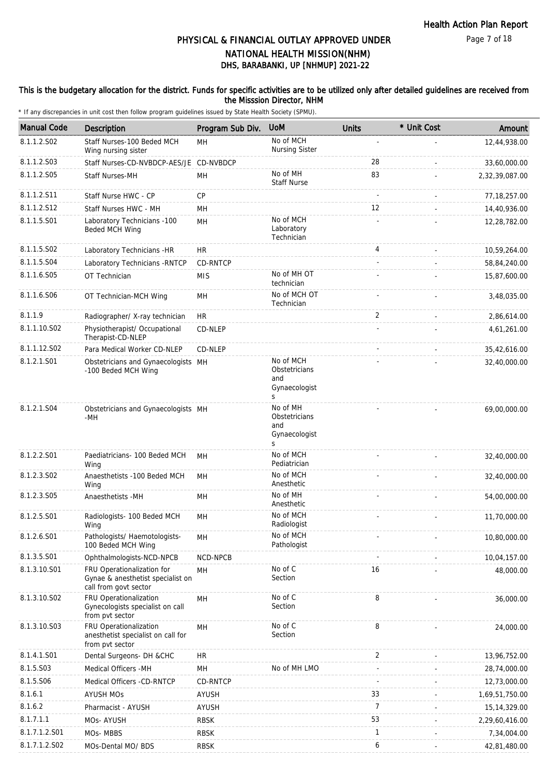Page 7 of 18

# DHS, BARABANKI, UP [NHMUP] 2021-22 PHYSICAL & FINANCIAL OUTLAY APPROVED UNDER NATIONAL HEALTH MISSION(NHM)

### This is the budgetary allocation for the district. Funds for specific activities are to be utilized only after detailed guidelines are received from the Misssion Director, NHM

| <b>Manual Code</b> | Description                                                                              | Program Sub Div. | <b>UoM</b>                                              | <b>Units</b>   | * Unit Cost | Amount         |
|--------------------|------------------------------------------------------------------------------------------|------------------|---------------------------------------------------------|----------------|-------------|----------------|
| 8.1.1.2.S02        | Staff Nurses-100 Beded MCH<br>Wing nursing sister                                        | <b>MH</b>        | No of MCH<br><b>Nursing Sister</b>                      |                |             | 12,44,938.00   |
| 8.1.1.2.S03        | Staff Nurses-CD-NVBDCP-AES/JE CD-NVBDCP                                                  |                  |                                                         | 28             |             | 33,60,000.00   |
| 8.1.1.2.S05        | <b>Staff Nurses-MH</b>                                                                   | MH               | No of MH<br><b>Staff Nurse</b>                          | 83             |             | 2,32,39,087.00 |
| 8.1.1.2.S11        | Staff Nurse HWC - CP                                                                     | CP               |                                                         |                |             | 77, 18, 257.00 |
| 8.1.1.2.S12        | Staff Nurses HWC - MH                                                                    | <b>MH</b>        |                                                         | 12             |             | 14,40,936.00   |
| 8.1.1.5.S01        | Laboratory Technicians -100<br>Beded MCH Wing                                            | MH               | No of MCH<br>Laboratory<br>Technician                   |                |             | 12,28,782.00   |
| 8.1.1.5.S02        | Laboratory Technicians -HR                                                               | <b>HR</b>        |                                                         | 4              |             | 10,59,264.00   |
| 8.1.1.5.S04        | Laboratory Technicians - RNTCP                                                           | CD-RNTCP         |                                                         |                |             | 58,84,240.00   |
| 8.1.1.6.S05        | OT Technician                                                                            | <b>MIS</b>       | No of MH OT<br>technician                               |                |             | 15,87,600.00   |
| 8.1.1.6.S06        | OT Technician-MCH Wing                                                                   | MH               | No of MCH OT<br>Technician                              |                |             | 3,48,035.00    |
| 8.1.1.9            | Radiographer/ X-ray technician                                                           | <b>HR</b>        |                                                         | 2              |             | 2,86,614.00    |
| 8.1.1.10.S02       | Physiotherapist/ Occupational<br>Therapist-CD-NLEP                                       | CD-NLEP          |                                                         |                |             | 4,61,261.00    |
| 8.1.1.12.S02       | Para Medical Worker CD-NLEP                                                              | CD-NLEP          |                                                         |                |             | 35,42,616.00   |
| 8.1.2.1.S01        | Obstetricians and Gynaecologists MH<br>-100 Beded MCH Wing                               |                  | No of MCH<br>Obstetricians<br>and<br>Gynaecologist<br>S |                |             | 32,40,000.00   |
| 8.1.2.1.S04        | Obstetricians and Gynaecologists MH<br>-MH                                               |                  | No of MH<br>Obstetricians<br>and<br>Gynaecologist<br>S  |                |             | 69,00,000.00   |
| 8.1.2.2.S01        | Paediatricians- 100 Beded MCH<br>Wing                                                    | MH               | No of MCH<br>Pediatrician                               |                |             | 32,40,000.00   |
| 8.1.2.3.S02        | Anaesthetists -100 Beded MCH<br>Wing                                                     | <b>MH</b>        | No of MCH<br>Anesthetic                                 |                |             | 32,40,000.00   |
| 8.1.2.3.S05        | Anaesthetists - MH                                                                       | MH               | No of MH<br>Anesthetic                                  |                |             | 54,00,000.00   |
| 8.1.2.5.S01        | Radiologists- 100 Beded MCH<br>Wing                                                      | MH               | No of MCH<br>Radiologist                                |                |             | 11,70,000.00   |
| 8.1.2.6.S01        | Pathologists/ Haemotologists-<br>100 Beded MCH Wing                                      | MH               | No of MCH<br>Pathologist                                |                |             | 10,80,000.00   |
| 8.1.3.5.S01        | Ophthalmologists-NCD-NPCB                                                                | NCD-NPCB         |                                                         |                |             | 10,04,157.00   |
| 8.1.3.10.S01       | FRU Operationalization for<br>Gynae & anesthetist specialist on<br>call from govt sector | <b>MH</b>        | No of C<br>Section                                      | 16             |             | 48,000.00      |
| 8.1.3.10.S02       | FRU Operationalization<br>Gynecologists specialist on call<br>from pvt sector            | MH               | No of C<br>Section                                      | 8              |             | 36,000.00      |
| 8.1.3.10.S03       | FRU Operationalization<br>anesthetist specialist on call for<br>from pvt sector          | MH               | No of C<br>Section                                      | 8              |             | 24,000.00      |
| 8.1.4.1.S01        | Dental Surgeons- DH &CHC                                                                 | HR               |                                                         | 2              |             | 13,96,752.00   |
| 8.1.5.S03          | Medical Officers -MH                                                                     | MH               | No of MH LMO                                            |                |             | 28,74,000.00   |
| 8.1.5.S06          | Medical Officers -CD-RNTCP                                                               | CD-RNTCP         |                                                         |                |             | 12,73,000.00   |
| 8.1.6.1            | <b>AYUSH MOs</b>                                                                         | <b>AYUSH</b>     |                                                         | 33             |             | 1,69,51,750.00 |
| 8.1.6.2            | Pharmacist - AYUSH                                                                       | AYUSH            |                                                         | $\overline{7}$ |             | 15, 14, 329.00 |
| 8.1.7.1.1          | MOs- AYUSH                                                                               | <b>RBSK</b>      |                                                         | 53             |             | 2,29,60,416.00 |
| 8.1.7.1.2.S01      | MOs-MBBS                                                                                 | RBSK             |                                                         | 1              |             | 7,34,004.00    |
| 8.1.7.1.2.S02      | MOs-Dental MO/ BDS                                                                       | <b>RBSK</b>      |                                                         | 6              |             | 42,81,480.00   |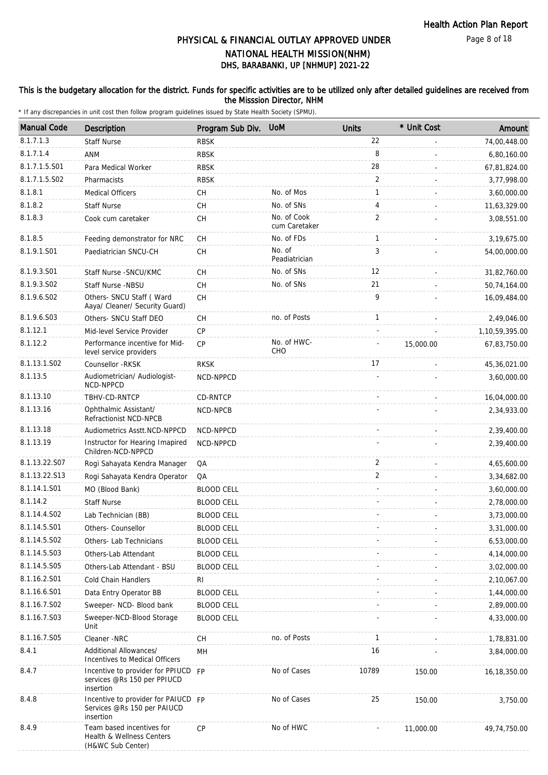### This is the budgetary allocation for the district. Funds for specific activities are to be utilized only after detailed guidelines are received from the Misssion Director, NHM

| <b>Manual Code</b>      | Description                                                                     | Program Sub Div.  | <b>UoM</b>                   | <b>Units</b>   | * Unit Cost | Amount         |
|-------------------------|---------------------------------------------------------------------------------|-------------------|------------------------------|----------------|-------------|----------------|
| 8.1.7.1.3               | <b>Staff Nurse</b>                                                              | <b>RBSK</b>       |                              | 22             |             | 74,00,448.00   |
| 8.1.7.1.4               | ANM                                                                             | <b>RBSK</b>       |                              | 8              |             | 6,80,160.00    |
| 8.1.7.1.5.S01           | Para Medical Worker                                                             | <b>RBSK</b>       |                              | 28             |             | 67,81,824.00   |
| 8.1.7.1.5.S02           | Pharmacists                                                                     | <b>RBSK</b>       |                              | 2              |             | 3,77,998.00    |
| 8.1.8.1                 | <b>Medical Officers</b>                                                         | CН                | No. of Mos                   | 1              |             | 3,60,000.00    |
| 8.1.8.2                 | <b>Staff Nurse</b>                                                              | <b>CH</b>         | No. of SNs                   | 4              |             | 11,63,329.00   |
| 8.1.8.3                 | Cook cum caretaker                                                              | CH                | No. of Cook<br>cum Caretaker | $\overline{2}$ |             | 3,08,551.00    |
| 8.1.8.5                 | Feeding demonstrator for NRC                                                    | CH                | No. of FDs                   | 1              |             | 3,19,675.00    |
| 8.1.9.1.S01             | Paediatrician SNCU-CH                                                           | <b>CH</b>         | No. of<br>Peadiatrician      | 3              |             | 54,00,000.00   |
| 8.1.9.3.S01             | Staff Nurse - SNCU/KMC                                                          | СH                | No. of SNs                   | 12             |             | 31,82,760.00   |
| 8.1.9.3.SO <sub>2</sub> | Staff Nurse -NBSU                                                               | <b>CH</b>         | No. of SNs                   | 21             |             | 50,74,164.00   |
| 8.1.9.6.SO2             | Others- SNCU Staff (Ward<br>Aaya/ Cleaner/ Security Guard)                      | СH                |                              | 9              |             | 16,09,484.00   |
| 8.1.9.6.S03             | Others- SNCU Staff DEO                                                          | CH                | no. of Posts                 | $\mathbf{1}$   |             | 2,49,046.00    |
| 8.1.12.1                | Mid-level Service Provider                                                      | <b>CP</b>         |                              |                |             | 1,10,59,395.00 |
| 8.1.12.2                | Performance incentive for Mid-<br>level service providers                       | <b>CP</b>         | No. of HWC-<br>CHO           |                | 15,000.00   | 67,83,750.00   |
| 8.1.13.1.S02            | Counsellor -RKSK                                                                | <b>RKSK</b>       |                              | 17             |             | 45,36,021.00   |
| 8.1.13.5                | Audiometrician/ Audiologist-<br>NCD-NPPCD                                       | NCD-NPPCD         |                              |                |             | 3.60.000.00    |
| 8.1.13.10               | TBHV-CD-RNTCP                                                                   | CD-RNTCP          |                              |                |             | 16,04,000.00   |
| 8.1.13.16               | Ophthalmic Assistant/<br>Refractionist NCD-NPCB                                 | NCD-NPCB          |                              |                |             | 2,34,933.00    |
| 8.1.13.18               | Audiometrics Asstt.NCD-NPPCD                                                    | NCD-NPPCD         |                              |                |             | 2,39,400.00    |
| 8.1.13.19               | Instructor for Hearing Imapired<br>Children-NCD-NPPCD                           | NCD-NPPCD         |                              |                |             | 2,39,400.00    |
| 8.1.13.22.S07           | Rogi Sahayata Kendra Manager                                                    | QA                |                              | 2              |             | 4,65,600.00    |
| 8.1.13.22.S13           | Rogi Sahayata Kendra Operator                                                   | QA                |                              | 2              |             | 3,34,682.00    |
| 8.1.14.1.S01            | MO (Blood Bank)                                                                 | <b>BLOOD CELL</b> |                              |                |             | 3,60,000.00    |
| 8.1.14.2                | <b>Staff Nurse</b>                                                              | <b>BLOOD CELL</b> |                              |                |             | 2,78,000.00    |
| 8.1.14.4.S02            | Lab Technician (BB)                                                             | <b>BLOOD CELL</b> |                              |                |             | 3,73,000.00    |
| 8.1.14.5.S01            | Others- Counsellor                                                              | <b>BLOOD CELL</b> |                              |                |             | 3,31,000.00    |
| 8.1.14.5.S02            | Others- Lab Technicians                                                         | <b>BLOOD CELL</b> |                              |                |             | 6,53,000.00    |
| 8.1.14.5.S03            | Others-Lab Attendant                                                            | <b>BLOOD CELL</b> |                              |                |             | 4,14,000.00    |
| 8.1.14.5.S05            | Others-Lab Attendant - BSU                                                      | <b>BLOOD CELL</b> |                              |                |             | 3,02,000.00    |
| 8.1.16.2.S01            | Cold Chain Handlers                                                             | RI                |                              |                |             | 2,10,067.00    |
| 8.1.16.6.S01            | Data Entry Operator BB                                                          | <b>BLOOD CELL</b> |                              |                |             | 1,44,000.00    |
| 8.1.16.7.S02            | Sweeper- NCD- Blood bank                                                        | <b>BLOOD CELL</b> |                              |                |             | 2,89,000.00    |
| 8.1.16.7.S03            | Sweeper-NCD-Blood Storage<br>Unit                                               | <b>BLOOD CELL</b> |                              |                |             | 4,33,000.00    |
| 8.1.16.7.S05            | Cleaner -NRC                                                                    | CH                | no. of Posts                 | $\mathbf{1}$   |             | 1,78,831.00    |
| 8.4.1                   | Additional Allowances/<br>Incentives to Medical Officers                        | MH                |                              | 16             |             | 3,84,000.00    |
| 8.4.7                   | Incentive to provider for PPIUCD FP<br>services @Rs 150 per PPIUCD<br>insertion |                   | No of Cases                  | 10789          | 150.00      | 16, 18, 350.00 |
| 8.4.8                   | Incentive to provider for PAIUCD FP<br>Services @Rs 150 per PAIUCD<br>insertion |                   | No of Cases                  | 25             | 150.00      | 3,750.00       |
| 8.4.9                   | Team based incentives for<br>Health & Wellness Centers<br>(H&WC Sub Center)     | <b>CP</b>         | No of HWC                    |                | 11,000.00   | 49,74,750.00   |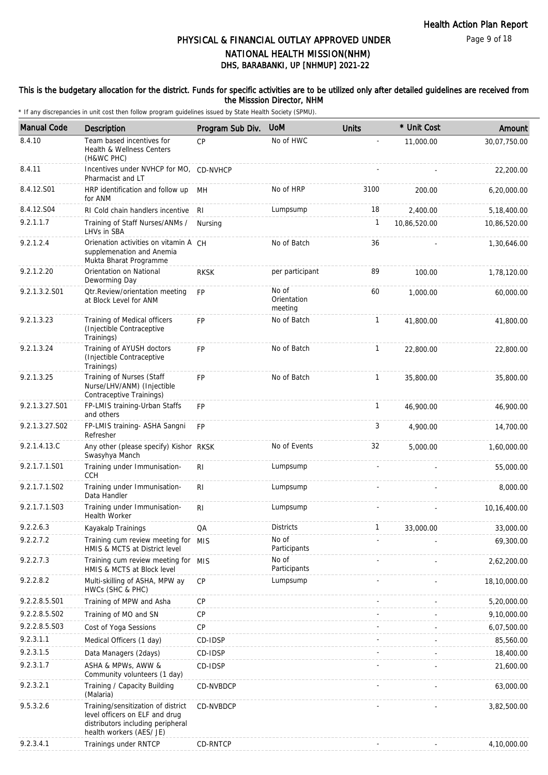Page 9 of 18

# DHS, BARABANKI, UP [NHMUP] 2021-22 PHYSICAL & FINANCIAL OUTLAY APPROVED UNDER NATIONAL HEALTH MISSION(NHM)

### This is the budgetary allocation for the district. Funds for specific activities are to be utilized only after detailed guidelines are received from the Misssion Director, NHM

| <b>Manual Code</b> | Description                                                                                                                           | Program Sub Div. | <b>UoM</b>                      | <b>Units</b> | * Unit Cost  | Amount       |
|--------------------|---------------------------------------------------------------------------------------------------------------------------------------|------------------|---------------------------------|--------------|--------------|--------------|
| 8.4.10             | Team based incentives for<br><b>Health &amp; Wellness Centers</b><br>(H&WC PHC)                                                       | CP               | No of HWC                       |              | 11,000.00    | 30,07,750.00 |
| 8.4.11             | Incentives under NVHCP for MO, CD-NVHCP<br>Pharmacist and LT                                                                          |                  |                                 |              |              | 22,200.00    |
| 8.4.12.S01         | HRP identification and follow up<br>for ANM                                                                                           | MН               | No of HRP                       | 3100         | 200.00       | 6,20,000.00  |
| 8.4.12.S04         | RI Cold chain handlers incentive                                                                                                      | RI               | Lumpsump                        | 18           | 2.400.00     | 5,18,400.00  |
| 9.2.1.1.7          | Training of Staff Nurses/ANMs /<br>LHVs in SBA                                                                                        | Nursing          |                                 | 1            | 10,86,520.00 | 10,86,520.00 |
| 9.2.1.2.4          | Orienation activities on vitamin A CH<br>supplemenation and Anemia<br>Mukta Bharat Programme                                          |                  | No of Batch                     | 36           |              | 1,30,646.00  |
| 9.2.1.2.20         | Orientation on National<br>Deworming Day                                                                                              | <b>RKSK</b>      | per participant                 | 89           | 100.00       | 1,78,120.00  |
| 9.2.1.3.2.S01      | <b>Qtr.Review/orientation meeting</b><br>at Block Level for ANM                                                                       | <b>FP</b>        | No of<br>Orientation<br>meeting | 60           | 1,000.00     | 60,000.00    |
| 9.2.1.3.23         | Training of Medical officers<br>(Injectible Contraceptive<br>Trainings)                                                               | <b>FP</b>        | No of Batch                     | $\mathbf{1}$ | 41,800.00    | 41,800.00    |
| 9.2.1.3.24         | Training of AYUSH doctors<br>(Injectible Contraceptive<br>Trainings)                                                                  | <b>FP</b>        | No of Batch                     | $\mathbf{1}$ | 22,800.00    | 22,800.00    |
| 9.2.1.3.25         | Training of Nurses (Staff<br>Nurse/LHV/ANM) (Injectible<br>Contraceptive Trainings)                                                   | <b>FP</b>        | No of Batch                     | 1            | 35.800.00    | 35,800.00    |
| 9.2.1.3.27.S01     | FP-LMIS training-Urban Staffs<br>and others                                                                                           | FP               |                                 | 1            | 46,900.00    | 46,900.00    |
| 9.2.1.3.27.S02     | FP-LMIS training- ASHA Sangni<br>Refresher                                                                                            | FP               |                                 | 3            | 4,900.00     | 14,700.00    |
| 9.2.1.4.13.C       | Any other (please specify) Kishor RKSK<br>Swasyhya Manch                                                                              |                  | No of Events                    | 32           | 5,000.00     | 1,60,000.00  |
| 9.2.1.7.1.S01      | Training under Immunisation-<br><b>CCH</b>                                                                                            | RI               | Lumpsump                        |              |              | 55,000.00    |
| 9.2.1.7.1.S02      | Training under Immunisation-<br>Data Handler                                                                                          | R <sub>l</sub>   | Lumpsump                        |              |              | 8,000.00     |
| 9.2.1.7.1.S03      | Training under Immunisation-<br>Health Worker                                                                                         | R <sub>l</sub>   | Lumpsump                        |              |              | 10,16,400.00 |
| 9.2.2.6.3          | Kayakalp Trainings                                                                                                                    | QA               | <b>Districts</b>                | 1            | 33,000.00    | 33,000.00    |
| 9.2.2.7.2          | Training cum review meeting for MIS<br>HMIS & MCTS at District level                                                                  |                  | No of<br>Participants           |              |              | 69,300.00    |
| 9.2.2.7.3          | Training cum review meeting for MIS<br>HMIS & MCTS at Block level                                                                     |                  | No of<br>Participants           |              |              | 2,62,200.00  |
| 9.2.2.8.2          | Multi-skilling of ASHA, MPW ay<br>HWCs (SHC & PHC)                                                                                    | CP               | Lumpsump                        |              |              | 18,10,000.00 |
| 9.2.2.8.5.S01      | Training of MPW and Asha                                                                                                              | CP               |                                 |              |              | 5,20,000.00  |
| 9.2.2.8.5.S02      | Training of MO and SN                                                                                                                 | <b>CP</b>        |                                 |              |              | 9,10,000.00  |
| 9.2.2.8.5.S03      | Cost of Yoga Sessions                                                                                                                 | <b>CP</b>        |                                 |              |              | 6,07,500.00  |
| 9.2.3.1.1          | Medical Officers (1 day)                                                                                                              | CD-IDSP          |                                 |              |              | 85,560.00    |
| 9.2.3.1.5          | Data Managers (2days)                                                                                                                 | CD-IDSP          |                                 |              |              | 18,400.00    |
| 9.2.3.1.7          | ASHA & MPWs, AWW &<br>Community volunteers (1 day)                                                                                    | CD-IDSP          |                                 |              |              | 21,600.00    |
| 9.2.3.2.1          | Training / Capacity Building<br>(Malaria)                                                                                             | CD-NVBDCP        |                                 |              |              | 63,000.00    |
| 9.5.3.2.6          | Training/sensitization of district<br>level officers on ELF and drug<br>distributors including peripheral<br>health workers (AES/ JE) | CD-NVBDCP        |                                 |              |              | 3,82,500.00  |
| 9.2.3.4.1          | Trainings under RNTCP                                                                                                                 | CD-RNTCP         |                                 |              |              | 4,10,000.00  |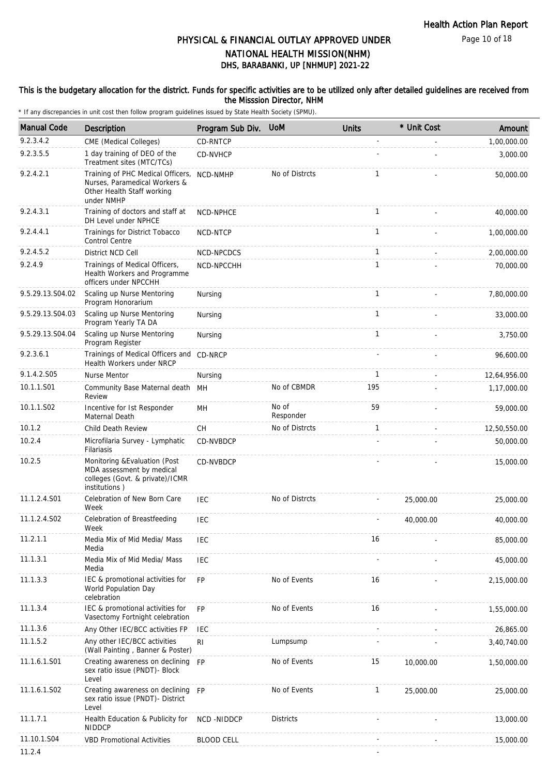Page 10 of 18

# DHS, BARABANKI, UP [NHMUP] 2021-22 PHYSICAL & FINANCIAL OUTLAY APPROVED UNDER NATIONAL HEALTH MISSION(NHM)

### This is the budgetary allocation for the district. Funds for specific activities are to be utilized only after detailed guidelines are received from the Misssion Director, NHM

| <b>Manual Code</b> | <b>Description</b>                                                                                             | Program Sub Div.  | <b>UoM</b>         | <b>Units</b> | * Unit Cost | Amount       |
|--------------------|----------------------------------------------------------------------------------------------------------------|-------------------|--------------------|--------------|-------------|--------------|
| 9.2.3.4.2          | CME (Medical Colleges)                                                                                         | <b>CD-RNTCP</b>   |                    |              |             | 1,00,000.00  |
| 9.2.3.5.5          | 1 day training of DEO of the<br>Treatment sites (MTC/TCs)                                                      | CD-NVHCP          |                    |              |             | 3,000.00     |
| 9.2.4.2.1          | Training of PHC Medical Officers,<br>Nurses, Paramedical Workers &<br>Other Health Staff working<br>under NMHP | NCD-NMHP          | No of Distrcts     | $\mathbf{1}$ |             | 50,000.00    |
| 9.2.4.3.1          | Training of doctors and staff at<br>DH Level under NPHCE                                                       | NCD-NPHCE         |                    | $\mathbf{1}$ |             | 40,000.00    |
| 9.2.4.4.1          | Trainings for District Tobacco<br>Control Centre                                                               | NCD-NTCP          |                    | $\mathbf{1}$ |             | 1,00,000.00  |
| 9.2.4.5.2          | District NCD Cell                                                                                              | NCD-NPCDCS        |                    | $\mathbf{1}$ |             | 2,00,000.00  |
| 9.2.4.9            | Trainings of Medical Officers,<br>Health Workers and Programme<br>officers under NPCCHH                        | NCD-NPCCHH        |                    | $\mathbf{1}$ |             | 70,000.00    |
| 9.5.29.13.S04.02   | Scaling up Nurse Mentoring<br>Program Honorarium                                                               | Nursing           |                    | $\mathbf{1}$ |             | 7,80,000.00  |
| 9.5.29.13.S04.03   | Scaling up Nurse Mentoring<br>Program Yearly TA DA                                                             | Nursing           |                    | 1            |             | 33,000.00    |
| 9.5.29.13.S04.04   | Scaling up Nurse Mentoring<br>Program Register                                                                 | Nursing           |                    | $\mathbf{1}$ |             | 3,750.00     |
| 9.2.3.6.1          | Trainings of Medical Officers and CD-NRCP<br>Health Workers under NRCP                                         |                   |                    |              |             | 96,600.00    |
| 9.1.4.2.S05        | <b>Nurse Mentor</b>                                                                                            | Nursing           |                    | $\mathbf{1}$ |             | 12,64,956.00 |
| 10.1.1.S01         | Community Base Maternal death<br>Review                                                                        | MН                | No of CBMDR        | 195          |             | 1,17,000.00  |
| 10.1.1.S02         | Incentive for 1st Responder<br>Maternal Death                                                                  | MН                | No of<br>Responder | 59           |             | 59,000.00    |
| 10.1.2             | Child Death Review                                                                                             | <b>CH</b>         | No of Distrcts     | $\mathbf{1}$ |             | 12,50,550.00 |
| 10.2.4             | Microfilaria Survey - Lymphatic<br>Filariasis                                                                  | CD-NVBDCP         |                    |              |             | 50,000.00    |
| 10.2.5             | Monitoring & Evaluation (Post<br>MDA assessment by medical<br>colleges (Govt. & private)/ICMR<br>institutions) | CD-NVBDCP         |                    |              |             | 15,000.00    |
| 11.1.2.4.S01       | Celebration of New Born Care<br>Week                                                                           | <b>IEC</b>        | No of Distrcts     |              | 25,000.00   | 25,000.00    |
| 11.1.2.4.S02       | Celebration of Breastfeeding<br>Week                                                                           | <b>IEC</b>        |                    |              | 40,000.00   | 40,000.00    |
| 11.2.1.1           | Media Mix of Mid Media/ Mass<br>Media                                                                          | IEC               |                    | 16           |             | 85,000.00    |
| 11.1.3.1           | Media Mix of Mid Media/ Mass<br>Media                                                                          | <b>IEC</b>        |                    |              |             | 45,000.00    |
| 11.1.3.3           | IEC & promotional activities for<br>World Population Day<br>celebration                                        | <b>FP</b>         | No of Events       | 16           |             | 2,15,000.00  |
| 11.1.3.4           | IEC & promotional activities for<br>Vasectomy Fortnight celebration                                            | <b>FP</b>         | No of Events       | 16           |             | 1,55,000.00  |
| 11.1.3.6           | Any Other IEC/BCC activities FP                                                                                | IEC               |                    |              |             | 26,865.00    |
| 11.1.5.2           | Any other IEC/BCC activities<br>(Wall Painting, Banner & Poster)                                               | RI                | Lumpsump           |              |             | 3,40,740.00  |
| 11.1.6.1.S01       | Creating awareness on declining<br>sex ratio issue (PNDT)- Block<br>Level                                      | <b>FP</b>         | No of Events       | 15           | 10,000.00   | 1,50,000.00  |
| 11.1.6.1.S02       | Creating awareness on declining FP<br>sex ratio issue (PNDT) - District<br>Level                               |                   | No of Events       | $\mathbf{1}$ | 25,000.00   | 25,000.00    |
| 11.1.7.1           | Health Education & Publicity for<br><b>NIDDCP</b>                                                              | NCD-NIDDCP        | <b>Districts</b>   |              |             | 13,000.00    |
| 11.10.1.S04        | <b>VBD Promotional Activities</b>                                                                              | <b>BLOOD CELL</b> |                    |              |             | 15,000.00    |
| 11.2.4             |                                                                                                                |                   |                    |              |             |              |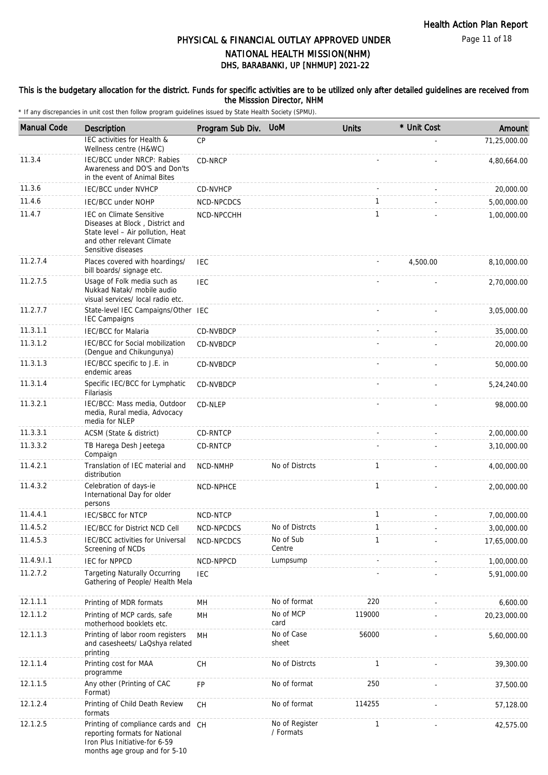Page 11 of 18

# PHYSICAL & FINANCIAL OUTLAY APPROVED UNDER NATIONAL HEALTH MISSION(NHM)

# DHS, BARABANKI, UP [NHMUP] 2021-22

### This is the budgetary allocation for the district. Funds for specific activities are to be utilized only after detailed guidelines are received from the Misssion Director, NHM

| <b>Manual Code</b> | Description                                                                                                                                                 | Program Sub Div. | <b>UoM</b>                  | <b>Units</b> | * Unit Cost | Amount       |
|--------------------|-------------------------------------------------------------------------------------------------------------------------------------------------------------|------------------|-----------------------------|--------------|-------------|--------------|
|                    | IEC activities for Health &<br>Wellness centre (H&WC)                                                                                                       | <b>CP</b>        |                             |              |             | 71,25,000.00 |
| 11.3.4             | IEC/BCC under NRCP: Rabies<br>Awareness and DO'S and Don'ts<br>in the event of Animal Bites                                                                 | CD-NRCP          |                             |              |             | 4,80,664.00  |
| 11.3.6             | <b>IEC/BCC under NVHCP</b>                                                                                                                                  | CD-NVHCP         |                             |              |             | 20,000.00    |
| 11.4.6             | <b>IEC/BCC under NOHP</b>                                                                                                                                   | NCD-NPCDCS       |                             | $\mathbf{1}$ |             | 5,00,000.00  |
| 11.4.7             | <b>IEC on Climate Sensitive</b><br>Diseases at Block, District and<br>State level - Air pollution, Heat<br>and other relevant Climate<br>Sensitive diseases | NCD-NPCCHH       |                             | $\mathbf{1}$ |             | 1,00,000.00  |
| 11.2.7.4           | Places covered with hoardings/<br>bill boards/ signage etc.                                                                                                 | <b>IEC</b>       |                             |              | 4,500.00    | 8,10,000.00  |
| 11.2.7.5           | Usage of Folk media such as<br>Nukkad Natak/ mobile audio<br>visual services/ local radio etc.                                                              | IEC              |                             |              |             | 2,70,000.00  |
| 11.2.7.7           | State-level IEC Campaigns/Other IEC<br><b>IEC Campaigns</b>                                                                                                 |                  |                             |              |             | 3,05,000.00  |
| 11.3.1.1           | <b>IEC/BCC for Malaria</b>                                                                                                                                  | CD-NVBDCP        |                             |              |             | 35,000.00    |
| 11.3.1.2           | IEC/BCC for Social mobilization<br>(Dengue and Chikungunya)                                                                                                 | CD-NVBDCP        |                             |              |             | 20,000.00    |
| 11.3.1.3           | IEC/BCC specific to J.E. in<br>endemic areas                                                                                                                | CD-NVBDCP        |                             |              |             | 50,000.00    |
| 11.3.1.4           | Specific IEC/BCC for Lymphatic<br>Filariasis                                                                                                                | <b>CD-NVBDCP</b> |                             |              |             | 5,24,240.00  |
| 11.3.2.1           | IEC/BCC: Mass media, Outdoor<br>media, Rural media, Advocacy<br>media for NLEP                                                                              | CD-NLEP          |                             |              |             | 98,000.00    |
| 11.3.3.1           | ACSM (State & district)                                                                                                                                     | CD-RNTCP         |                             |              |             | 2,00,000.00  |
| 11.3.3.2           | TB Harega Desh Jeetega<br>Compaign                                                                                                                          | CD-RNTCP         |                             |              |             | 3,10,000.00  |
| 11.4.2.1           | Translation of IEC material and<br>distribution                                                                                                             | NCD-NMHP         | No of Distrcts              | $\mathbf{1}$ |             | 4,00,000.00  |
| 11.4.3.2           | Celebration of days-ie<br>International Day for older<br>persons                                                                                            | NCD-NPHCE        |                             | $\mathbf{1}$ |             | 2,00,000.00  |
| 11.4.4.1           | <b>IEC/SBCC for NTCP</b>                                                                                                                                    | NCD-NTCP         |                             | $\mathbf{1}$ |             | 7,00,000.00  |
| 11.4.5.2           | IEC/BCC for District NCD Cell                                                                                                                               | NCD-NPCDCS       | No of Distrcts              | $\mathbf{1}$ |             | 3,00,000.00  |
| 11.4.5.3           | IEC/BCC activities for Universal<br>Screening of NCDs                                                                                                       | NCD-NPCDCS       | No of Sub<br>Centre         | 1            |             | 17,65,000.00 |
| 11.4.9.1.1         | <b>IEC for NPPCD</b>                                                                                                                                        | NCD-NPPCD        | Lumpsump                    |              |             | 1,00,000.00  |
| 11.2.7.2           | <b>Targeting Naturally Occurring</b><br>Gathering of People/ Health Mela                                                                                    | IEC              |                             |              |             | 5,91,000.00  |
| 12.1.1.1           | Printing of MDR formats                                                                                                                                     | MН               | No of format                | 220          |             | 6,600.00     |
| 12.1.1.2           | Printing of MCP cards, safe<br>motherhood booklets etc.                                                                                                     | MH               | No of MCP<br>card           | 119000       |             | 20,23,000.00 |
| 12.1.1.3           | Printing of labor room registers<br>and casesheets/ LaQshya related<br>printing                                                                             | MН               | No of Case<br>sheet         | 56000        |             | 5,60,000.00  |
| 12.1.1.4           | Printing cost for MAA<br>programme                                                                                                                          | <b>CH</b>        | No of Distrcts              | $\mathbf{1}$ |             | 39,300.00    |
| 12.1.1.5           | Any other (Printing of CAC<br>Format)                                                                                                                       | FP               | No of format                | 250          |             | 37,500.00    |
| 12.1.2.4           | Printing of Child Death Review<br>formats                                                                                                                   | СH               | No of format                | 114255       |             | 57,128.00    |
| 12.1.2.5           | Printing of compliance cards and CH<br>reporting formats for National<br>Iron Plus Initiative-for 6-59<br>months age group and for 5-10                     |                  | No of Register<br>/ Formats | 1            |             | 42,575.00    |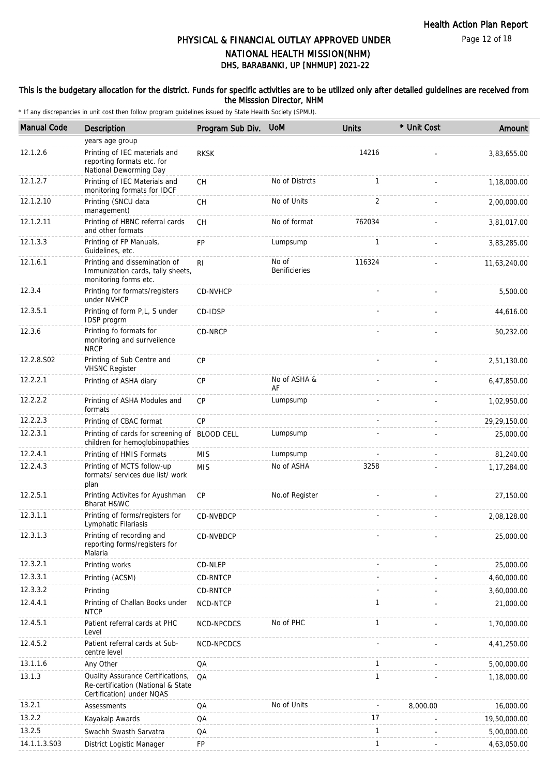Page 12 of 18

# PHYSICAL & FINANCIAL OUTLAY APPROVED UNDER NATIONAL HEALTH MISSION(NHM)

# DHS, BARABANKI, UP [NHMUP] 2021-22

#### This is the budgetary allocation for the district. Funds for specific activities are to be utilized only after detailed guidelines are received from the Misssion Director, NHM

| <b>Manual Code</b> | Description                                                                                          | Program Sub Div. | <b>UoM</b>             | <b>Units</b> | * Unit Cost | Amount       |
|--------------------|------------------------------------------------------------------------------------------------------|------------------|------------------------|--------------|-------------|--------------|
|                    | years age group                                                                                      |                  |                        |              |             |              |
| 12.1.2.6           | Printing of IEC materials and<br>reporting formats etc. for<br>National Deworming Day                | <b>RKSK</b>      |                        | 14216        |             | 3,83,655.00  |
| 12.1.2.7           | Printing of IEC Materials and<br>monitoring formats for IDCF                                         | <b>CH</b>        | No of Distrcts         | $\mathbf{1}$ |             | 1,18,000.00  |
| 12.1.2.10          | Printing (SNCU data<br>management)                                                                   | <b>CH</b>        | No of Units            | 2            |             | 2,00,000.00  |
| 12.1.2.11          | Printing of HBNC referral cards<br>and other formats                                                 | <b>CH</b>        | No of format           | 762034       |             | 3,81,017.00  |
| 12.1.3.3           | Printing of FP Manuals,<br>Guidelines, etc.                                                          | FP               | Lumpsump               | 1            |             | 3,83,285.00  |
| 12.1.6.1           | Printing and dissemination of<br>Immunization cards, tally sheets,<br>monitoring forms etc.          | R <sub>l</sub>   | No of<br>Benificieries | 116324       |             | 11,63,240.00 |
| 12.3.4             | Printing for formats/registers<br>under NVHCP                                                        | <b>CD-NVHCP</b>  |                        |              |             | 5,500.00     |
| 12.3.5.1           | Printing of form P,L, S under<br>IDSP progrm                                                         | CD-IDSP          |                        |              |             | 44,616.00    |
| 12.3.6             | Printing fo formats for<br>monitoring and surrveilence<br><b>NRCP</b>                                | CD-NRCP          |                        |              |             | 50,232.00    |
| 12.2.8.S02         | Printing of Sub Centre and<br><b>VHSNC Register</b>                                                  | <b>CP</b>        |                        |              |             | 2,51,130.00  |
| 12.2.2.1           | Printing of ASHA diary                                                                               | СP               | No of ASHA &<br>AF     |              |             | 6,47,850.00  |
| 12.2.2.2           | Printing of ASHA Modules and<br>formats                                                              | CP               | Lumpsump               |              |             | 1,02,950.00  |
| 12.2.2.3           | Printing of CBAC format                                                                              | CP               |                        |              |             | 29,29,150.00 |
| 12.2.3.1           | Printing of cards for screening of BLOOD CELL<br>children for hemoglobinopathies                     |                  | Lumpsump               |              |             | 25,000.00    |
| 12.2.4.1           | Printing of HMIS Formats                                                                             | <b>MIS</b>       | Lumpsump               |              |             | 81,240.00    |
| 12.2.4.3           | Printing of MCTS follow-up<br>formats/ services due list/ work<br>plan                               | <b>MIS</b>       | No of ASHA             | 3258         |             | 1,17,284.00  |
| 12.2.5.1           | Printing Activites for Ayushman<br>Bharat H&WC                                                       | <b>CP</b>        | No.of Register         |              |             | 27,150.00    |
| 12.3.1.1           | Printing of forms/registers for<br>Lymphatic Filariasis                                              | CD-NVBDCP        |                        |              |             | 2,08,128.00  |
| 12.3.1.3           | Printing of recording and<br>reporting forms/registers for<br>Malaria                                | CD-NVBDCP        |                        |              |             | 25,000.00    |
| 12.3.2.1           | Printing works                                                                                       | CD-NLEP          |                        |              |             | 25,000.00    |
| 12.3.3.1           | Printing (ACSM)                                                                                      | CD-RNTCP         |                        |              |             | 4,60,000.00  |
| 12.3.3.2           | Printing                                                                                             | CD-RNTCP         |                        |              |             | 3,60,000.00  |
| 12.4.4.1           | Printing of Challan Books under<br><b>NTCP</b>                                                       | NCD-NTCP         |                        | 1            |             | 21,000.00    |
| 12.4.5.1           | Patient referral cards at PHC<br>Level                                                               | NCD-NPCDCS       | No of PHC              | $\mathbf{1}$ |             | 1,70,000.00  |
| 12.4.5.2           | Patient referral cards at Sub-<br>centre level                                                       | NCD-NPCDCS       |                        |              |             | 4,41,250.00  |
| 13.1.1.6           | Any Other                                                                                            | QA               |                        | $\mathbf{1}$ |             | 5,00,000.00  |
| 13.1.3             | Quality Assurance Certifications,<br>Re-certification (National & State<br>Certification) under NQAS | QA               |                        | $\mathbf{1}$ |             | 1,18,000.00  |
| 13.2.1             | Assessments                                                                                          | QA               | No of Units            |              | 8,000.00    | 16,000.00    |
| 13.2.2             | Kayakalp Awards                                                                                      | QA               |                        | 17           |             | 19,50,000.00 |
| 13.2.5             | Swachh Swasth Sarvatra                                                                               | QA               |                        | $\mathbf{1}$ |             | 5,00,000.00  |
| 14.1.1.3.S03       | District Logistic Manager                                                                            | FP               |                        | $\mathbf{1}$ |             | 4,63,050.00  |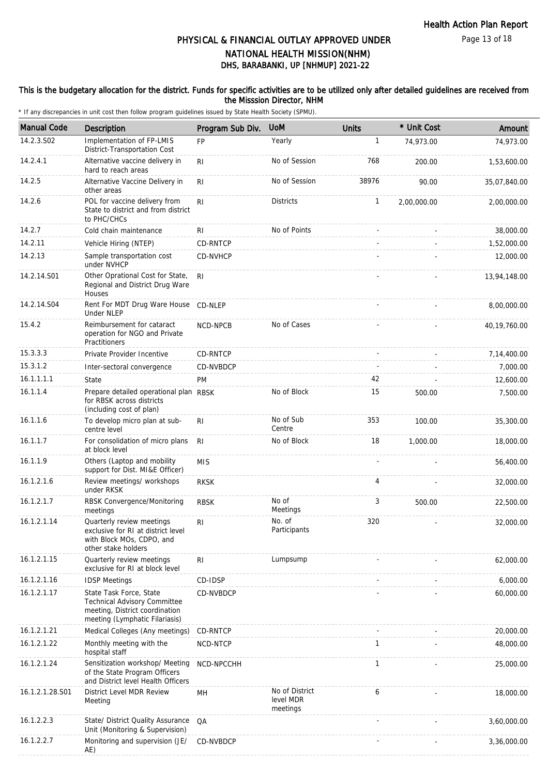### This is the budgetary allocation for the district. Funds for specific activities are to be utilized only after detailed guidelines are received from the Misssion Director, NHM

| <b>Manual Code</b> | Description                                                                                                                 | Program Sub Div. | <b>UoM</b>                              | <b>Units</b> | * Unit Cost | Amount         |
|--------------------|-----------------------------------------------------------------------------------------------------------------------------|------------------|-----------------------------------------|--------------|-------------|----------------|
| 14.2.3.S02         | Implementation of FP-LMIS<br>District-Transportation Cost                                                                   | <b>FP</b>        | Yearly                                  | 1            | 74.973.00   | 74,973.00      |
| 14.2.4.1           | Alternative vaccine delivery in<br>hard to reach areas                                                                      | R <sub>l</sub>   | No of Session                           | 768          | 200.00      | 1,53,600.00    |
| 14.2.5             | Alternative Vaccine Delivery in<br>other areas                                                                              | RI               | No of Session                           | 38976        | 90.00       | 35,07,840.00   |
| 14.2.6             | POL for vaccine delivery from<br>State to district and from district<br>to PHC/CHCs                                         | RI.              | <b>Districts</b>                        | $\mathbf{1}$ | 2,00,000.00 | 2,00,000.00    |
| 14.2.7             | Cold chain maintenance                                                                                                      | RI               | No of Points                            |              |             | 38,000.00      |
| 14.2.11            | Vehicle Hiring (NTEP)                                                                                                       | CD-RNTCP         |                                         |              |             | 1,52,000.00    |
| 14.2.13            | Sample transportation cost<br>under NVHCP                                                                                   | CD-NVHCP         |                                         |              |             | 12,000.00      |
| 14.2.14.S01        | Other Oprational Cost for State,<br>Regional and District Drug Ware<br>Houses                                               | RI.              |                                         |              |             | 13,94,148.00   |
| 14.2.14.S04        | Rent For MDT Drug Ware House<br><b>Under NLEP</b>                                                                           | CD-NLEP          |                                         |              |             | 8,00,000.00    |
| 15.4.2             | Reimbursement for cataract<br>operation for NGO and Private<br>Practitioners                                                | NCD-NPCB         | No of Cases                             |              |             | 40, 19, 760.00 |
| 15.3.3.3           | Private Provider Incentive                                                                                                  | CD-RNTCP         |                                         |              |             | 7,14,400.00    |
| 15.3.1.2           | Inter-sectoral convergence                                                                                                  | CD-NVBDCP        |                                         |              |             | 7,000.00       |
| 16.1.1.1.1         | State                                                                                                                       | PM               |                                         | 42           |             | 12,600.00      |
| 16.1.1.4           | Prepare detailed operational plan RBSK<br>for RBSK across districts<br>(including cost of plan)                             |                  | No of Block                             | 15           | 500.00      | 7,500.00       |
| 16.1.1.6           | To develop micro plan at sub-<br>centre level                                                                               | R <sub>l</sub>   | No of Sub<br>Centre                     | 353          | 100.00      | 35,300.00      |
| 16.1.1.7           | For consolidation of micro plans<br>at block level                                                                          | R <sub>l</sub>   | No of Block                             | 18           | 1,000.00    | 18,000.00      |
| 16.1.1.9           | Others (Laptop and mobility<br>support for Dist. MI&E Officer)                                                              | <b>MIS</b>       |                                         |              |             | 56,400.00      |
| 16.1.2.1.6         | Review meetings/ workshops<br>under RKSK                                                                                    | <b>RKSK</b>      |                                         | 4            |             | 32,000.00      |
| 16.1.2.1.7         | RBSK Convergence/Monitoring<br>meetings                                                                                     | <b>RBSK</b>      | No of<br>Meetings                       | 3            | 500.00      | 22,500.00      |
| 16.1.2.1.14        | Quarterly review meetings<br>exclusive for RI at district level<br>with Block MOs, CDPO, and<br>other stake holders         | RI               | No. of<br>Participants                  | 320          |             | 32,000.00      |
| 16.1.2.1.15        | Quarterly review meetings<br>exclusive for RI at block level                                                                | R <sub>l</sub>   | Lumpsump                                |              |             | 62,000.00      |
| 16.1.2.1.16        | <b>IDSP Meetings</b>                                                                                                        | CD-IDSP          |                                         |              |             | 6,000.00       |
| 16.1.2.1.17        | State Task Force, State<br>Technical Advisory Committee<br>meeting, District coordination<br>meeting (Lymphatic Filariasis) | CD-NVBDCP        |                                         |              |             | 60,000.00      |
| 16.1.2.1.21        | Medical Colleges (Any meetings)                                                                                             | CD-RNTCP         |                                         |              |             | 20,000.00      |
| 16.1.2.1.22        | Monthly meeting with the<br>hospital staff                                                                                  | NCD-NTCP         |                                         | 1            |             | 48,000.00      |
| 16.1.2.1.24        | Sensitization workshop/ Meeting<br>of the State Program Officers<br>and District level Health Officers                      | NCD-NPCCHH       |                                         | 1            |             | 25,000.00      |
| 16.1.2.1.28.S01    | District Level MDR Review<br>Meeting                                                                                        | MH               | No of District<br>level MDR<br>meetings | 6            |             | 18,000.00      |
| 16.1.2.2.3         | State/ District Quality Assurance<br>Unit (Monitoring & Supervision)                                                        | QA               |                                         |              |             | 3,60,000.00    |
| 16.1.2.2.7         | Monitoring and supervision (JE/<br>AE)                                                                                      | CD-NVBDCP        |                                         |              |             | 3,36,000.00    |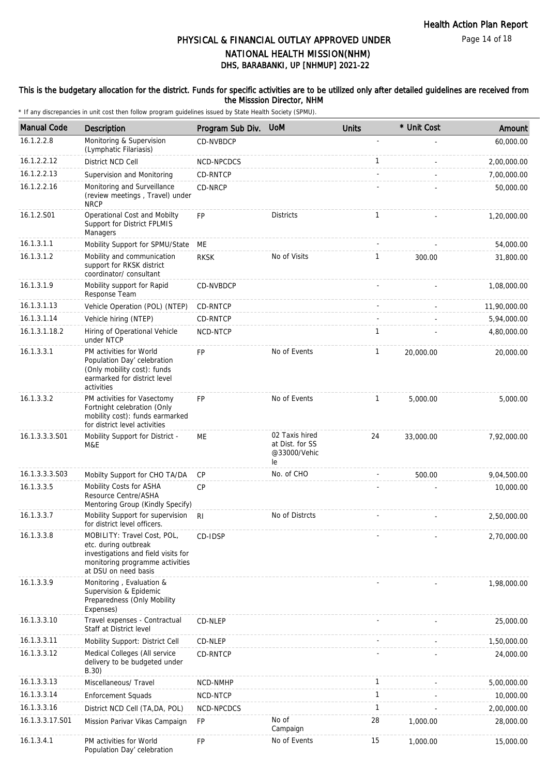Page 14 of 18

# DHS, BARABANKI, UP [NHMUP] 2021-22 PHYSICAL & FINANCIAL OUTLAY APPROVED UNDER NATIONAL HEALTH MISSION(NHM)

### This is the budgetary allocation for the district. Funds for specific activities are to be utilized only after detailed guidelines are received from the Misssion Director, NHM

| <b>Manual Code</b> | Description                                                                                                                                           | Program Sub Div. | <b>UoM</b>                                              | <b>Units</b> | * Unit Cost | Amount       |
|--------------------|-------------------------------------------------------------------------------------------------------------------------------------------------------|------------------|---------------------------------------------------------|--------------|-------------|--------------|
| 16.1.2.2.8         | Monitoring & Supervision<br>(Lymphatic Filariasis)                                                                                                    | CD-NVBDCP        |                                                         |              |             | 60,000.00    |
| 16.1.2.2.12        | District NCD Cell                                                                                                                                     | NCD-NPCDCS       |                                                         | $\mathbf{1}$ |             | 2,00,000.00  |
| 16.1.2.2.13        | Supervision and Monitoring                                                                                                                            | CD-RNTCP         |                                                         |              |             | 7,00,000.00  |
| 16.1.2.2.16        | Monitoring and Surveillance<br>(review meetings, Travel) under<br><b>NRCP</b>                                                                         | CD-NRCP          |                                                         |              |             | 50,000.00    |
| 16.1.2.S01         | Operational Cost and Mobilty<br>Support for District FPLMIS<br>Managers                                                                               | FP               | <b>Districts</b>                                        | 1            |             | 1,20,000.00  |
| 16.1.3.1.1         | Mobility Support for SPMU/State                                                                                                                       | МE               |                                                         |              |             | 54,000.00    |
| 16.1.3.1.2         | Mobility and communication<br>support for RKSK district<br>coordinator/ consultant                                                                    | <b>RKSK</b>      | No of Visits                                            | 1            | 300.00      | 31,800.00    |
| 16.1.3.1.9         | Mobility support for Rapid<br>Response Team                                                                                                           | CD-NVBDCP        |                                                         |              |             | 1,08,000.00  |
| 16.1.3.1.13        | Vehicle Operation (POL) (NTEP)                                                                                                                        | CD-RNTCP         |                                                         |              |             | 11,90,000.00 |
| 16.1.3.1.14        | Vehicle hiring (NTEP)                                                                                                                                 | CD-RNTCP         |                                                         |              |             | 5,94,000.00  |
| 16.1.3.1.18.2      | Hiring of Operational Vehicle<br>under NTCP                                                                                                           | NCD-NTCP         |                                                         | 1            |             | 4,80,000.00  |
| 16.1.3.3.1         | PM activities for World<br>Population Day' celebration<br>(Only mobility cost): funds<br>earmarked for district level<br>activities                   | <b>FP</b>        | No of Events                                            | $\mathbf{1}$ | 20,000.00   | 20,000.00    |
| 16.1.3.3.2         | PM activities for Vasectomy<br>Fortnight celebration (Only<br>mobility cost): funds earmarked<br>for district level activities                        | <b>FP</b>        | No of Events                                            | 1            | 5,000.00    | 5,000.00     |
| 16.1.3.3.3.S01     | Mobility Support for District -<br>M&E                                                                                                                | МE               | 02 Taxis hired<br>at Dist. for SS<br>@33000/Vehic<br>le | 24           | 33,000.00   | 7,92,000.00  |
| 16.1.3.3.3.S03     | Mobilty Support for CHO TA/DA                                                                                                                         | CP               | No. of CHO                                              |              | 500.00      | 9,04,500.00  |
| 16.1.3.3.5         | Mobility Costs for ASHA<br>Resource Centre/ASHA<br>Mentoring Group (Kindly Specify)                                                                   | CP               |                                                         |              |             | 10,000.00    |
| 16.1.3.3.7         | Mobility Support for supervision<br>for district level officers.                                                                                      | <b>RI</b>        | No of Distrcts                                          |              |             | 2,50,000.00  |
| 16.1.3.3.8         | MOBILITY: Travel Cost, POL,<br>etc. during outbreak<br>investigations and field visits for<br>monitoring programme activities<br>at DSU on need basis | CD-IDSP          |                                                         |              |             | 2,70,000.00  |
| 16.1.3.3.9         | Monitoring, Evaluation &<br>Supervision & Epidemic<br>Preparedness (Only Mobility<br>Expenses)                                                        |                  |                                                         |              |             | 1,98,000.00  |
| 16.1.3.3.10        | Travel expenses - Contractual<br>Staff at District level                                                                                              | CD-NLEP          |                                                         |              |             | 25,000.00    |
| 16.1.3.3.11        | Mobility Support: District Cell                                                                                                                       | CD-NLEP          |                                                         |              |             | 1,50,000.00  |
| 16.1.3.3.12        | Medical Colleges (All service<br>delivery to be budgeted under<br>B.30)                                                                               | CD-RNTCP         |                                                         |              |             | 24,000.00    |
| 16.1.3.3.13        | Miscellaneous/ Travel                                                                                                                                 | NCD-NMHP         |                                                         | 1            |             | 5,00,000.00  |
| 16.1.3.3.14        | <b>Enforcement Squads</b>                                                                                                                             | NCD-NTCP         |                                                         | 1            |             | 10,000.00    |
| 16.1.3.3.16        | District NCD Cell (TA, DA, POL)                                                                                                                       | NCD-NPCDCS       |                                                         | 1            |             | 2,00,000.00  |
| 16.1.3.3.17.S01    | Mission Parivar Vikas Campaign                                                                                                                        | FP               | No of<br>Campaign                                       | 28           | 1,000.00    | 28,000.00    |
| 16.1.3.4.1         | PM activities for World<br>Population Day' celebration                                                                                                | <b>FP</b>        | No of Events                                            | 15           | 1,000.00    | 15,000.00    |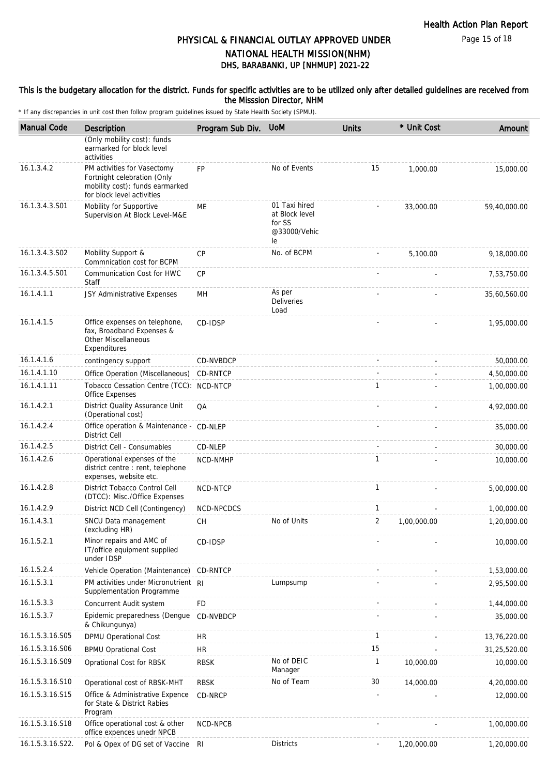Page 15 of 18

# PHYSICAL & FINANCIAL OUTLAY APPROVED UNDER NATIONAL HEALTH MISSION(NHM)

DHS, BARABANKI, UP [NHMUP] 2021-22

### This is the budgetary allocation for the district. Funds for specific activities are to be utilized only after detailed guidelines are received from the Misssion Director, NHM

| <b>Manual Code</b> | Description                                                                                                                 | Program Sub Div. | <b>UoM</b>                                                      | <b>Units</b>   | * Unit Cost | Amount       |
|--------------------|-----------------------------------------------------------------------------------------------------------------------------|------------------|-----------------------------------------------------------------|----------------|-------------|--------------|
|                    | (Only mobility cost): funds<br>earmarked for block level<br>activities                                                      |                  |                                                                 |                |             |              |
| 16.1.3.4.2         | PM activities for Vasectomy<br>Fortnight celebration (Only<br>mobility cost): funds earmarked<br>for block level activities | <b>FP</b>        | No of Events                                                    | 15             | 1,000.00    | 15,000.00    |
| 16.1.3.4.3.S01     | Mobility for Supportive<br>Supervision At Block Level-M&E                                                                   | ME               | 01 Taxi hired<br>at Block level<br>for SS<br>@33000/Vehic<br>le |                | 33,000.00   | 59,40,000.00 |
| 16.1.3.4.3.S02     | Mobility Support &<br>Commnication cost for BCPM                                                                            | CP               | No. of BCPM                                                     |                | 5,100.00    | 9,18,000.00  |
| 16.1.3.4.5.S01     | Communication Cost for HWC<br>Staff                                                                                         | CP               |                                                                 |                |             | 7,53,750.00  |
| 16.1.4.1.1         | JSY Administrative Expenses                                                                                                 | MН               | As per<br><b>Deliveries</b><br>Load                             |                |             | 35,60,560.00 |
| 16.1.4.1.5         | Office expenses on telephone,<br>fax, Broadband Expenses &<br><b>Other Miscellaneous</b><br>Expenditures                    | CD-IDSP          |                                                                 |                |             | 1,95,000.00  |
| 16.1.4.1.6         | contingency support                                                                                                         | <b>CD-NVBDCP</b> |                                                                 |                | $\sim$      | 50,000.00    |
| 16.1.4.1.10        | Office Operation (Miscellaneous)                                                                                            | CD-RNTCP         |                                                                 |                |             | 4,50,000.00  |
| 16.1.4.1.11        | Tobacco Cessation Centre (TCC): NCD-NTCP<br>Office Expenses                                                                 |                  |                                                                 | 1              |             | 1,00,000.00  |
| 16.1.4.2.1         | District Quality Assurance Unit<br>(Operational cost)                                                                       | QA               |                                                                 |                |             | 4,92,000.00  |
| 16.1.4.2.4         | Office operation & Maintenance - CD-NLEP<br><b>District Cell</b>                                                            |                  |                                                                 |                |             | 35,000.00    |
| 16.1.4.2.5         | District Cell - Consumables                                                                                                 | CD-NLEP          |                                                                 |                |             | 30,000.00    |
| 16.1.4.2.6         | Operational expenses of the<br>district centre : rent, telephone<br>expenses, website etc.                                  | NCD-NMHP         |                                                                 | 1              |             | 10,000.00    |
| 16.1.4.2.8         | District Tobacco Control Cell<br>(DTCC): Misc./Office Expenses                                                              | NCD-NTCP         |                                                                 | 1              |             | 5,00,000.00  |
| 16.1.4.2.9         | District NCD Cell (Contingency)                                                                                             | NCD-NPCDCS       |                                                                 | $\mathbf{1}$   |             | 1,00,000.00  |
| 16.1.4.3.1         | SNCU Data management<br>(excluding HR)                                                                                      | <b>CH</b>        | No of Units                                                     | $\overline{2}$ | 1,00,000.00 | 1,20,000.00  |
| 16.1.5.2.1         | Minor repairs and AMC of<br>IT/office equipment supplied<br>under IDSP                                                      | CD-IDSP          |                                                                 |                |             | 10,000.00    |
| 16.1.5.2.4         | Vehicle Operation (Maintenance) CD-RNTCP                                                                                    |                  |                                                                 |                |             | 1,53,000.00  |
| 16.1.5.3.1         | PM activities under Micronutrient RI<br>Supplementation Programme                                                           |                  | Lumpsump                                                        |                |             | 2,95,500.00  |
| 16.1.5.3.3         | Concurrent Audit system                                                                                                     | <b>FD</b>        |                                                                 |                |             | 1,44,000.00  |
| 16.1.5.3.7         | Epidemic preparedness (Dengue<br>& Chikungunya)                                                                             | CD-NVBDCP        |                                                                 |                |             | 35,000.00    |
| 16.1.5.3.16.S05    | <b>DPMU Operational Cost</b>                                                                                                | <b>HR</b>        |                                                                 | 1              |             | 13,76,220.00 |
| 16.1.5.3.16.S06    | <b>BPMU Oprational Cost</b>                                                                                                 | <b>HR</b>        |                                                                 | 15             |             | 31,25,520.00 |
| 16.1.5.3.16.S09    | Oprational Cost for RBSK                                                                                                    | <b>RBSK</b>      | No of DEIC<br>Manager                                           | 1              | 10,000.00   | 10,000.00    |
| 16.1.5.3.16.S10    | Operational cost of RBSK-MHT                                                                                                | <b>RBSK</b>      | No of Team                                                      | 30             | 14,000.00   | 4,20,000.00  |
| 16.1.5.3.16.S15    | Office & Administrative Expence<br>for State & District Rabies<br>Program                                                   | CD-NRCP          |                                                                 |                |             | 12,000.00    |
| 16.1.5.3.16.S18    | Office operational cost & other<br>office expences unedr NPCB                                                               | NCD-NPCB         |                                                                 |                |             | 1,00,000.00  |
| 16.1.5.3.16.S22.   | Pol & Opex of DG set of Vaccine RI                                                                                          |                  | <b>Districts</b>                                                |                | 1,20,000.00 | 1,20,000.00  |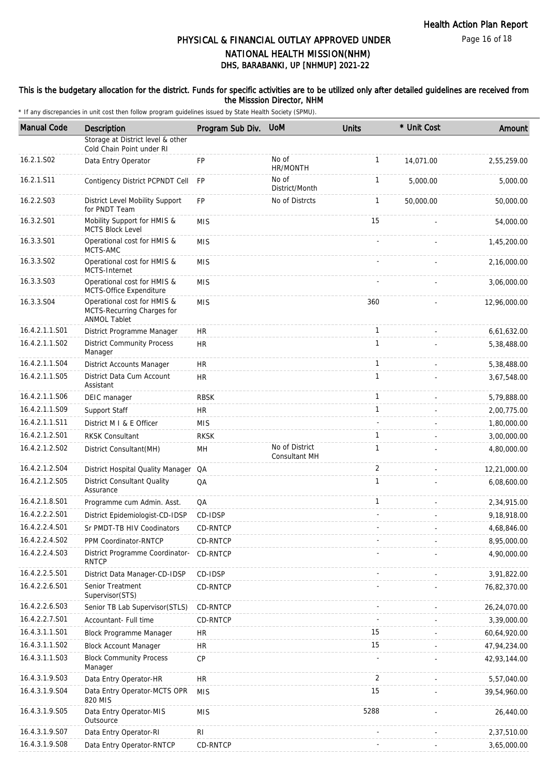#### This is the budgetary allocation for the district. Funds for specific activities are to be utilized only after detailed guidelines are received from the Misssion Director, NHM

| <b>Manual Code</b> | Description                                                                      | Program Sub Div. | <b>UoM</b>                      | <b>Units</b>   | * Unit Cost | Amount       |
|--------------------|----------------------------------------------------------------------------------|------------------|---------------------------------|----------------|-------------|--------------|
|                    | Storage at District level & other<br>Cold Chain Point under RI                   |                  |                                 |                |             |              |
| 16.2.1.S02         | Data Entry Operator                                                              | <b>FP</b>        | No of<br>HR/MONTH               | $\mathbf{1}$   | 14,071.00   | 2,55,259.00  |
| 16.2.1.S11         | Contigency District PCPNDT Cell                                                  | <b>FP</b>        | No of<br>District/Month         | $\mathbf{1}$   | 5,000.00    | 5,000.00     |
| 16.2.2.S03         | District Level Mobility Support<br>for PNDT Team                                 | <b>FP</b>        | No of Distrcts                  | $\mathbf{1}$   | 50,000.00   | 50,000.00    |
| 16.3.2.S01         | Mobility Support for HMIS &<br><b>MCTS Block Level</b>                           | <b>MIS</b>       |                                 | 15             |             | 54,000.00    |
| 16.3.3.S01         | Operational cost for HMIS &<br>MCTS-AMC                                          | <b>MIS</b>       |                                 |                |             | 1,45,200.00  |
| 16.3.3.S02         | Operational cost for HMIS &<br>MCTS-Internet                                     | <b>MIS</b>       |                                 |                |             | 2,16,000.00  |
| 16.3.3.S03         | Operational cost for HMIS &<br>MCTS-Office Expenditure                           | <b>MIS</b>       |                                 |                |             | 3,06,000.00  |
| 16.3.3.S04         | Operational cost for HMIS &<br>MCTS-Recurring Charges for<br><b>ANMOL Tablet</b> | <b>MIS</b>       |                                 | 360            |             | 12,96,000.00 |
| 16.4.2.1.1.S01     | District Programme Manager                                                       | HR               |                                 | $\mathbf{1}$   |             | 6,61,632.00  |
| 16.4.2.1.1.S02     | <b>District Community Process</b><br>Manager                                     | <b>HR</b>        |                                 | $\mathbf{1}$   |             | 5,38,488.00  |
| 16.4.2.1.1.S04     | District Accounts Manager                                                        | HR               |                                 | $\mathbf{1}$   |             | 5,38,488.00  |
| 16.4.2.1.1.S05     | District Data Cum Account<br>Assistant                                           | <b>HR</b>        |                                 | $\mathbf{1}$   |             | 3,67,548.00  |
| 16.4.2.1.1.S06     | DEIC manager                                                                     | <b>RBSK</b>      |                                 | $\mathbf{1}$   | ä,          | 5,79,888.00  |
| 16.4.2.1.1.S09     | Support Staff                                                                    | HR               |                                 | $\mathbf{1}$   |             | 2,00,775.00  |
| 16.4.2.1.1.S11     | District M I & E Officer                                                         | <b>MIS</b>       |                                 |                |             | 1,80,000.00  |
| 16.4.2.1.2.S01     | <b>RKSK Consultant</b>                                                           | <b>RKSK</b>      |                                 | $\mathbf{1}$   |             | 3,00,000.00  |
| 16.4.2.1.2.S02     | District Consultant (MH)                                                         | MH               | No of District<br>Consultant MH | $\mathbf{1}$   |             | 4,80,000.00  |
| 16.4.2.1.2.S04     | District Hospital Quality Manager QA                                             |                  |                                 | $\overline{2}$ |             | 12,21,000.00 |
| 16.4.2.1.2.S05     | <b>District Consultant Quality</b><br>Assurance                                  | QA               |                                 | $\mathbf{1}$   |             | 6,08,600.00  |
| 16.4.2.1.8.S01     | Programme cum Admin. Asst.                                                       | QA               |                                 | $\mathbf{1}$   |             | 2,34,915.00  |
| 16.4.2.2.2.S01     | District Epidemiologist-CD-IDSP                                                  | CD-IDSP          |                                 |                |             | 9,18,918.00  |
| 16.4.2.2.4.S01     | Sr PMDT-TB HIV Coodinators                                                       | <b>CD-RNTCP</b>  |                                 |                |             | 4,68,846.00  |
| 16.4.2.2.4.S02     | PPM Coordinator-RNTCP                                                            | CD-RNTCP         |                                 |                |             | 8,95,000.00  |
| 16.4.2.2.4.S03     | District Programme Coordinator-<br><b>RNTCP</b>                                  | CD-RNTCP         |                                 |                |             | 4,90,000.00  |
| 16.4.2.2.5.S01     | District Data Manager-CD-IDSP                                                    | CD-IDSP          |                                 |                |             | 3,91,822.00  |
| 16.4.2.2.6.S01     | Senior Treatment<br>Supervisor(STS)                                              | CD-RNTCP         |                                 |                |             | 76,82,370.00 |
| 16.4.2.2.6.S03     | Senior TB Lab Supervisor(STLS)                                                   | CD-RNTCP         |                                 |                |             | 26,24,070.00 |
| 16.4.2.2.7.S01     | Accountant- Full time                                                            | CD-RNTCP         |                                 |                |             | 3,39,000.00  |
| 16.4.3.1.1.S01     | Block Programme Manager                                                          | <b>HR</b>        |                                 | 15             |             | 60,64,920.00 |
| 16.4.3.1.1.S02     | <b>Block Account Manager</b>                                                     | <b>HR</b>        |                                 | 15             |             | 47,94,234.00 |
| 16.4.3.1.1.S03     | <b>Block Community Process</b><br>Manager                                        | CP               |                                 |                |             | 42,93,144.00 |
| 16.4.3.1.9.S03     | Data Entry Operator-HR                                                           | <b>HR</b>        |                                 | $\overline{2}$ |             | 5,57,040.00  |
| 16.4.3.1.9.S04     | Data Entry Operator-MCTS OPR<br>820 MIS                                          | <b>MIS</b>       |                                 | 15             |             | 39,54,960.00 |
| 16.4.3.1.9.S05     | Data Entry Operator-MIS<br>Outsource                                             | <b>MIS</b>       |                                 | 5288           |             | 26,440.00    |
| 16.4.3.1.9.S07     | Data Entry Operator-RI                                                           | <b>RI</b>        |                                 |                |             | 2,37,510.00  |
| 16.4.3.1.9.S08     | Data Entry Operator-RNTCP                                                        | CD-RNTCP         |                                 |                |             | 3,65,000.00  |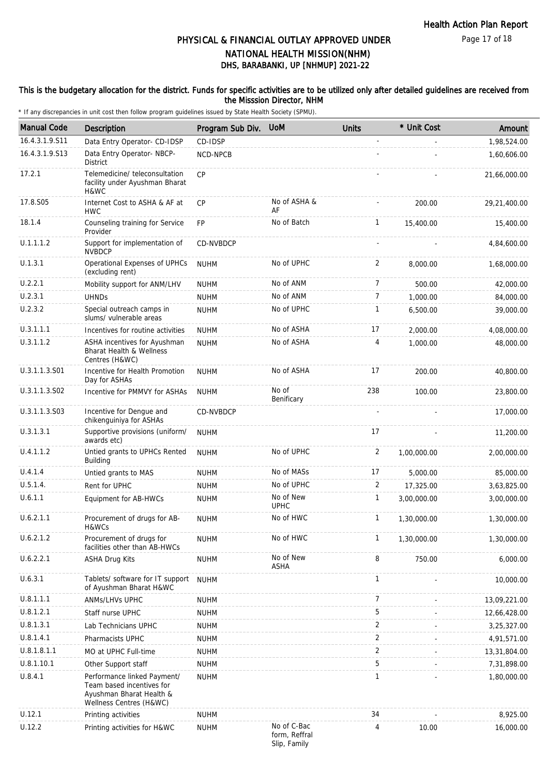Page 17 of 18

# DHS, BARABANKI, UP [NHMUP] 2021-22 PHYSICAL & FINANCIAL OUTLAY APPROVED UNDER NATIONAL HEALTH MISSION(NHM)

### This is the budgetary allocation for the district. Funds for specific activities are to be utilized only after detailed guidelines are received from the Misssion Director, NHM

| <b>Manual Code</b> | Description                                                                                                     | Program Sub Div. | <b>UoM</b>                                   | <b>Units</b>   | * Unit Cost | Amount       |
|--------------------|-----------------------------------------------------------------------------------------------------------------|------------------|----------------------------------------------|----------------|-------------|--------------|
| 16.4.3.1.9.S11     | Data Entry Operator- CD-IDSP                                                                                    | CD-IDSP          |                                              |                |             | 1,98,524.00  |
| 16.4.3.1.9.S13     | Data Entry Operator- NBCP-<br><b>District</b>                                                                   | NCD-NPCB         |                                              |                |             | 1,60,606.00  |
| 17.2.1             | Telemedicine/ teleconsultation<br>facility under Ayushman Bharat<br>H&WC                                        | <b>CP</b>        |                                              |                |             | 21,66,000.00 |
| 17.8.S05           | Internet Cost to ASHA & AF at<br><b>HWC</b>                                                                     | <b>CP</b>        | No of ASHA &<br>AF                           |                | 200.00      | 29,21,400.00 |
| 18.1.4             | Counseling training for Service<br>Provider                                                                     | <b>FP</b>        | No of Batch                                  | $\mathbf{1}$   | 15,400.00   | 15,400.00    |
| U.1.1.1.2          | Support for implementation of<br><b>NVBDCP</b>                                                                  | CD-NVBDCP        |                                              |                |             | 4,84,600.00  |
| U.1.3.1            | Operational Expenses of UPHCs<br>(excluding rent)                                                               | <b>NUHM</b>      | No of UPHC                                   | 2              | 8,000.00    | 1,68,000.00  |
| U.2.2.1            | Mobility support for ANM/LHV                                                                                    | <b>NUHM</b>      | No of ANM                                    | 7              | 500.00      | 42,000.00    |
| U.2.3.1            | <b>UHNDs</b>                                                                                                    | <b>NUHM</b>      | No of ANM                                    | 7              | 1,000.00    | 84,000.00    |
| U.2.3.2            | Special outreach camps in<br>slums/ vulnerable areas                                                            | <b>NUHM</b>      | No of UPHC                                   | 1              | 6,500.00    | 39,000.00    |
| U.3.1.1.1          | Incentives for routine activities                                                                               | <b>NUHM</b>      | No of ASHA                                   | 17             | 2.000.00    | 4,08,000.00  |
| U.3.1.1.2          | ASHA incentives for Ayushman<br><b>Bharat Health &amp; Wellness</b><br>Centres (H&WC)                           | <b>NUHM</b>      | No of ASHA                                   | 4              | 1,000.00    | 48,000.00    |
| U.3.1.1.3.S01      | Incentive for Health Promotion<br>Day for ASHAs                                                                 | <b>NUHM</b>      | No of ASHA                                   | 17             | 200.00      | 40,800.00    |
| U.3.1.1.3.S02      | Incentive for PMMVY for ASHAs                                                                                   | <b>NUHM</b>      | No of<br>Benificary                          | 238            | 100.00      | 23,800.00    |
| U.3.1.1.3.S03      | Incentive for Dengue and<br>chikenguiniya for ASHAs                                                             | CD-NVBDCP        |                                              |                |             | 17,000.00    |
| U.3.1.3.1          | Supportive provisions (uniform/<br>awards etc)                                                                  | <b>NUHM</b>      |                                              | 17             |             | 11,200.00    |
| U.4.1.1.2          | Untied grants to UPHCs Rented<br>Building                                                                       | <b>NUHM</b>      | No of UPHC                                   | 2              | 1,00,000.00 | 2,00,000.00  |
| U.4.1.4            | Untied grants to MAS                                                                                            | <b>NUHM</b>      | No of MASs                                   | 17             | 5,000.00    | 85,000.00    |
| U.5.1.4.           | Rent for UPHC                                                                                                   | <b>NUHM</b>      | No of UPHC                                   | 2              | 17,325.00   | 3,63,825.00  |
| U.6.1.1            | Equipment for AB-HWCs                                                                                           | <b>NUHM</b>      | No of New<br><b>UPHC</b>                     | 1              | 3,00,000.00 | 3,00,000.00  |
| U.6.2.1.1          | Procurement of drugs for AB-<br>H&WCs                                                                           | <b>NUHM</b>      | No of HWC                                    | 1              | 1,30,000.00 | 1,30,000.00  |
| U.6.2.1.2          | Procurement of drugs for<br>facilities other than AB-HWCs                                                       | <b>NUHM</b>      | No of HWC                                    | $\mathbf{1}$   | 1,30,000.00 | 1,30,000.00  |
| U.6.2.2.1          | <b>ASHA Drug Kits</b>                                                                                           | <b>NUHM</b>      | No of New<br><b>ASHA</b>                     | 8              | 750.00      | 6,000.00     |
| U.6.3.1            | Tablets/ software for IT support<br>of Ayushman Bharat H&WC                                                     | <b>NUHM</b>      |                                              | 1              |             | 10,000.00    |
| U.8.1.1.1          | ANMs/LHVs UPHC                                                                                                  | <b>NUHM</b>      |                                              | $\overline{7}$ |             | 13,09,221.00 |
| U.8.1.2.1          | Staff nurse UPHC                                                                                                | <b>NUHM</b>      |                                              | 5              |             | 12,66,428.00 |
| U.8.1.3.1          | Lab Technicians UPHC                                                                                            | <b>NUHM</b>      |                                              | $\overline{2}$ |             | 3,25,327.00  |
| U.8.1.4.1          | Pharmacists UPHC                                                                                                | <b>NUHM</b>      |                                              | 2              |             | 4,91,571.00  |
| U.8.1.8.1.1        | MO at UPHC Full-time                                                                                            | <b>NUHM</b>      |                                              | $\overline{2}$ |             | 13,31,804.00 |
| U.8.1.10.1         | Other Support staff                                                                                             | <b>NUHM</b>      |                                              | 5              |             | 7,31,898.00  |
| U.8.4.1            | Performance linked Payment/<br>Team based incentives for<br>Ayushman Bharat Health &<br>Wellness Centres (H&WC) | <b>NUHM</b>      |                                              | $\mathbf{1}$   |             | 1,80,000.00  |
| U.12.1             | Printing activities                                                                                             | <b>NUHM</b>      |                                              | 34             |             | 8,925.00     |
| U.12.2             | Printing activities for H&WC                                                                                    | <b>NUHM</b>      | No of C-Bac<br>form, Reffral<br>Slip, Family | 4              | 10.00       | 16,000.00    |